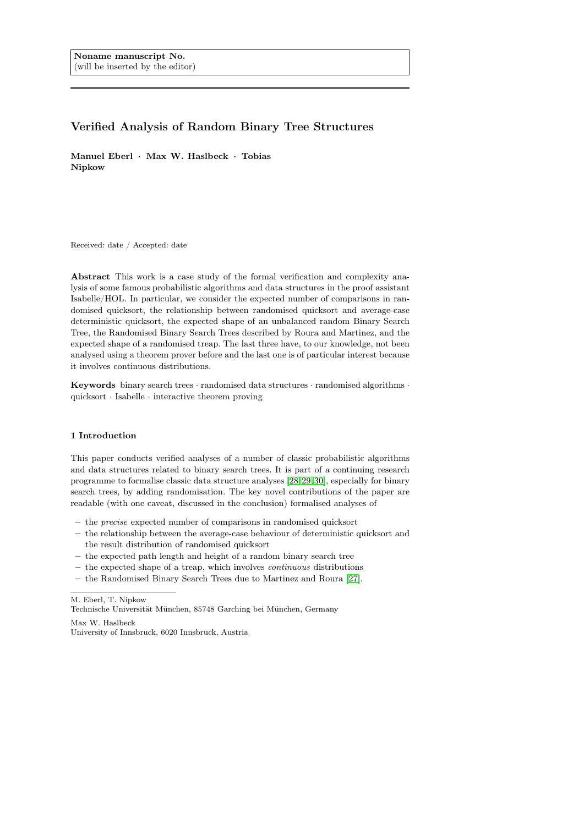# Verified Analysis of Random Binary Tree Structures

Manuel Eberl · Max W. Haslbeck · Tobias Nipkow

Received: date / Accepted: date

Abstract This work is a case study of the formal verification and complexity analysis of some famous probabilistic algorithms and data structures in the proof assistant Isabelle/HOL. In particular, we consider the expected number of comparisons in randomised quicksort, the relationship between randomised quicksort and average-case deterministic quicksort, the expected shape of an unbalanced random Binary Search Tree, the Randomised Binary Search Trees described by Roura and Martinez, and the expected shape of a randomised treap. The last three have, to our knowledge, not been analysed using a theorem prover before and the last one is of particular interest because it involves continuous distributions.

Keywords binary search trees · randomised data structures · randomised algorithms · quicksort · Isabelle · interactive theorem proving

# 1 Introduction

This paper conducts verified analyses of a number of classic probabilistic algorithms and data structures related to binary search trees. It is part of a continuing research programme to formalise classic data structure analyses [\[28,](#page-28-0) [29,](#page-28-1)[30\]](#page-28-2), especially for binary search trees, by adding randomisation. The key novel contributions of the paper are readable (with one caveat, discussed in the conclusion) formalised analyses of

- the precise expected number of comparisons in randomised quicksort
- the relationship between the average-case behaviour of deterministic quicksort and the result distribution of randomised quicksort
- the expected path length and height of a random binary search tree
- the expected shape of a treap, which involves continuous distributions
- the Randomised Binary Search Trees due to Martinez and Roura [\[27\]](#page-28-3).

M. Eberl, T. Nipkow

Technische Universität München, 85748 Garching bei München, Germany Max W. Haslbeck University of Innsbruck, 6020 Innsbruck, Austria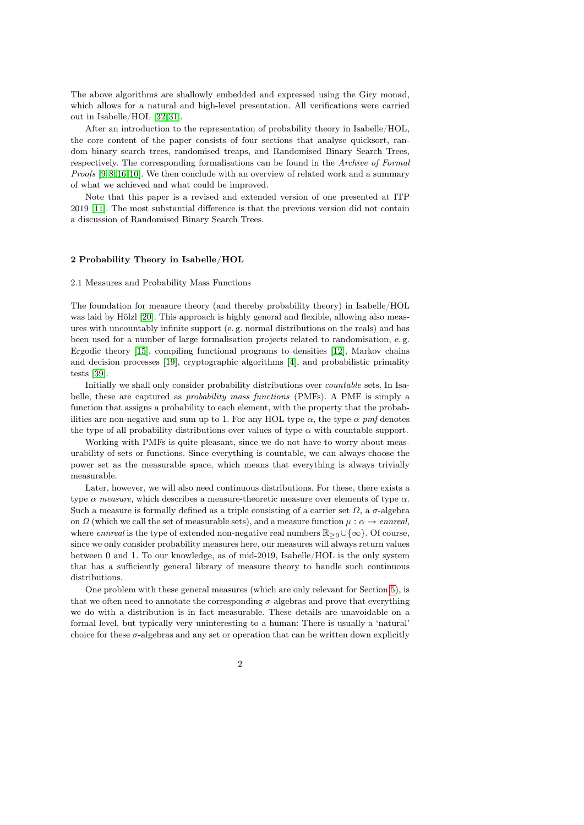The above algorithms are shallowly embedded and expressed using the Giry monad, which allows for a natural and high-level presentation. All verifications were carried out in Isabelle/HOL [\[32,](#page-29-0) [31\]](#page-28-4).

After an introduction to the representation of probability theory in Isabelle/HOL, the core content of the paper consists of four sections that analyse quicksort, random binary search trees, randomised treaps, and Randomised Binary Search Trees, respectively. The corresponding formalisations can be found in the Archive of Formal *Proofs*  $[9, 8, 16, 10]$  $[9, 8, 16, 10]$  $[9, 8, 16, 10]$  $[9, 8, 16, 10]$  $[9, 8, 16, 10]$ . We then conclude with an overview of related work and a summary of what we achieved and what could be improved.

Note that this paper is a revised and extended version of one presented at ITP 2019 [\[11\]](#page-28-7). The most substantial difference is that the previous version did not contain a discussion of Randomised Binary Search Trees.

#### 2 Probability Theory in Isabelle/HOL

### <span id="page-1-0"></span>2.1 Measures and Probability Mass Functions

The foundation for measure theory (and thereby probability theory) in Isabelle/HOL was laid by Hölzl [\[20\]](#page-28-8). This approach is highly general and flexible, allowing also measures with uncountably infinite support (e. g. normal distributions on the reals) and has been used for a number of large formalisation projects related to randomisation, e. g. Ergodic theory [\[15\]](#page-28-9), compiling functional programs to densities [\[12\]](#page-28-10), Markov chains and decision processes [\[19\]](#page-28-11), cryptographic algorithms [\[4\]](#page-27-2), and probabilistic primality tests [\[39\]](#page-29-1).

Initially we shall only consider probability distributions over countable sets. In Isabelle, these are captured as probability mass functions (PMFs). A PMF is simply a function that assigns a probability to each element, with the property that the probabilities are non-negative and sum up to 1. For any HOL type  $\alpha$ , the type  $\alpha$  pmf denotes the type of all probability distributions over values of type  $\alpha$  with countable support.

Working with PMFs is quite pleasant, since we do not have to worry about measurability of sets or functions. Since everything is countable, we can always choose the power set as the measurable space, which means that everything is always trivially measurable.

Later, however, we will also need continuous distributions. For these, there exists a type  $\alpha$  measure, which describes a measure-theoretic measure over elements of type  $\alpha$ . Such a measure is formally defined as a triple consisting of a carrier set  $\Omega$ , a  $\sigma$ -algebra on  $\Omega$  (which we call the set of measurable sets), and a measure function  $\mu : \alpha \to en \text{r}$ where ennreal is the type of extended non-negative real numbers  $\mathbb{R}_{\geq 0} \cup {\infty}$ . Of course, since we only consider probability measures here, our measures will always return values between 0 and 1. To our knowledge, as of mid-2019, Isabelle/HOL is the only system that has a sufficiently general library of measure theory to handle such continuous distributions.

One problem with these general measures (which are only relevant for Section [5\)](#page-10-0), is that we often need to annotate the corresponding  $\sigma$ -algebras and prove that everything we do with a distribution is in fact measurable. These details are unavoidable on a formal level, but typically very uninteresting to a human: There is usually a 'natural' choice for these  $\sigma$ -algebras and any set or operation that can be written down explicitly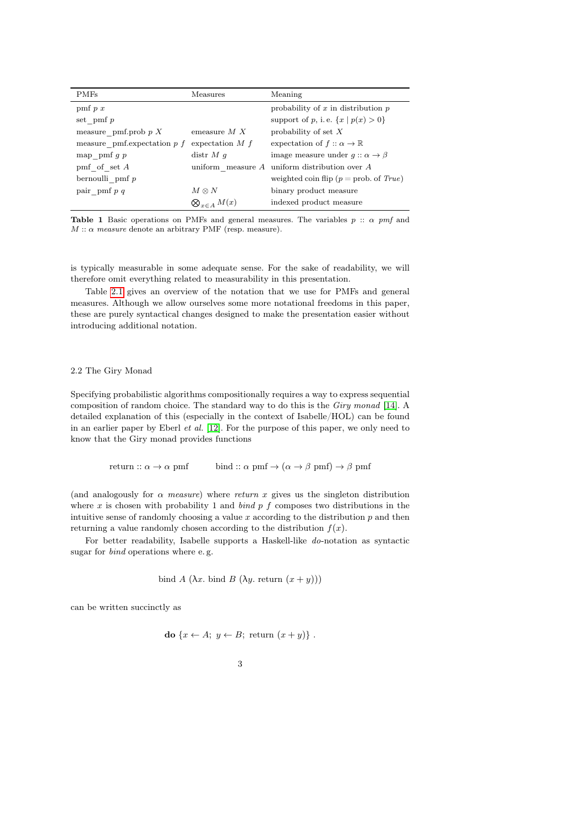| <b>PMFs</b>                   | Measures                    | Meaning                                              |
|-------------------------------|-----------------------------|------------------------------------------------------|
| $\text{pmf}~p~x$              |                             | probability of $x$ in distribution $p$               |
| set pmf $p$                   |                             | support of p, i.e. $\{x \mid p(x) > 0\}$             |
| measure pmf.prob $p X$        | emeasure $M X$              | probability of set $X$                               |
| measure pmf.expectation $p f$ | expectation $M f$           | expectation of $f: \alpha \to \mathbb{R}$            |
| map pmf $g p$                 | distr $M$ q                 | image measure under $q$ : $\alpha \rightarrow \beta$ |
| pmf of set $A$                |                             | uniform measure $A$ uniform distribution over $A$    |
| bernoulli_pmf $p$             |                             | weighted coin flip ( $p = prob.$ of $True$ )         |
| pair pmf $p q$                | $M\otimes N$                | binary product measure                               |
|                               | $\bigotimes_{x \in A} M(x)$ | indexed product measure                              |

Table 1 Basic operations on PMFs and general measures. The variables  $p :: \alpha$  pmf and  $M :: \alpha$  measure denote an arbitrary PMF (resp. measure).

is typically measurable in some adequate sense. For the sake of readability, we will therefore omit everything related to measurability in this presentation.

Table [2.1](#page-1-0) gives an overview of the notation that we use for PMFs and general measures. Although we allow ourselves some more notational freedoms in this paper, these are purely syntactical changes designed to make the presentation easier without introducing additional notation.

2.2 The Giry Monad

Specifying probabilistic algorithms compositionally requires a way to express sequential composition of random choice. The standard way to do this is the Giry monad [\[14\]](#page-28-12). A detailed explanation of this (especially in the context of Isabelle/HOL) can be found in an earlier paper by Eberl  $et \ al.$  [\[12\]](#page-28-10). For the purpose of this paper, we only need to know that the Giry monad provides functions

return ::  $\alpha \to \alpha$  pmf bind ::  $\alpha$  pmf  $\to (\alpha \to \beta$  pmf)  $\to \beta$  pmf

(and analogously for  $\alpha$  measure) where return x gives us the singleton distribution where x is chosen with probability 1 and  $bind$  p f composes two distributions in the intuitive sense of randomly choosing a value  $x$  according to the distribution  $p$  and then returning a value randomly chosen according to the distribution  $f(x)$ .

For better readability, Isabelle supports a Haskell-like do-notation as syntactic sugar for bind operations where e. g.

bind A  $(\lambda x.$  bind B  $(\lambda y.$  return  $(x + y))$ 

can be written succinctly as

do  $\{x \leftarrow A; y \leftarrow B;$  return  $(x + y)$ .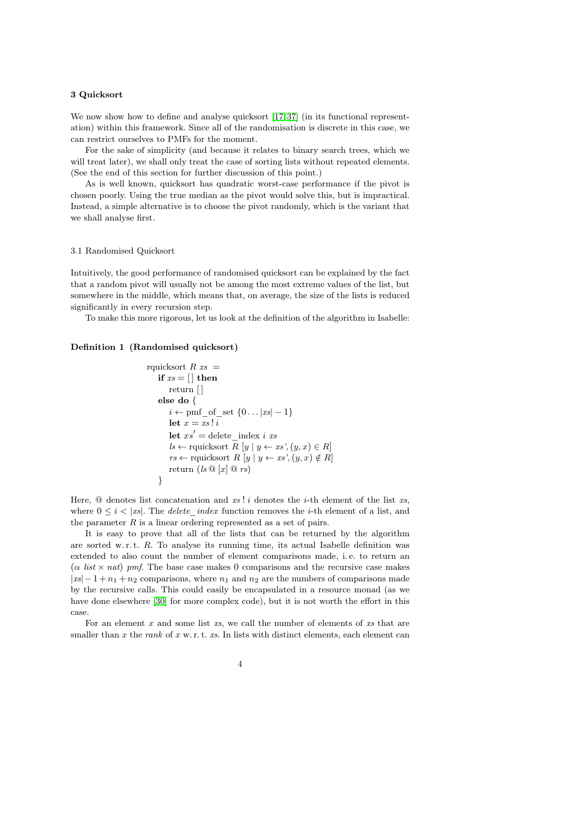#### 3 Quicksort

We now show how to define and analyse quicksort [\[17,](#page-28-13)37] (in its functional representation) within this framework. Since all of the randomisation is discrete in this case, we can restrict ourselves to PMFs for the moment.

For the sake of simplicity (and because it relates to binary search trees, which we will treat later), we shall only treat the case of sorting lists without repeated elements. (See the end of this section for further discussion of this point.)

As is well known, quicksort has quadratic worst-case performance if the pivot is chosen poorly. Using the true median as the pivot would solve this, but is impractical. Instead, a simple alternative is to choose the pivot randomly, which is the variant that we shall analyse first.

#### 3.1 Randomised Quicksort

Intuitively, the good performance of randomised quicksort can be explained by the fact that a random pivot will usually not be among the most extreme values of the list, but somewhere in the middle, which means that, on average, the size of the lists is reduced significantly in every recursion step.

To make this more rigorous, let us look at the definition of the algorithm in Isabelle:

# Definition 1 (Randomised quicksort)

```
rquicksort R xs =
    if xs = [] then
       return [ ]
    else do {
        i \leftarrow \text{pmf\_of\_set} \{0 \dots |xs| - 1\}let x = xs! ilet xs' = delete index i xs
        ls \leftarrow rquicksort \overline{R} [y | y ← xs', (y, x) ∈ R]
        rs \leftarrow rquicksort R[y \mid y \leftarrow xs', (y, x) \notin R]return (ls \mathcal{Q} [x] \mathcal{Q} rs)}
```
Here,  $\mathcal Q$  denotes list concatenation and  $xs! i$  denotes the *i*-th element of the list  $xs$ , where  $0 \le i \le |xs|$ . The *delete* index function removes the *i*-th element of a list, and the parameter  $R$  is a linear ordering represented as a set of pairs.

It is easy to prove that all of the lists that can be returned by the algorithm are sorted w.r.t.  $R$ . To analyse its running time, its actual Isabelle definition was extended to also count the number of element comparisons made, i. e. to return an ( $\alpha$  list  $\times$  nat) pmf. The base case makes 0 comparisons and the recursive case makes  $|xs| - 1 + n_1 + n_2$  comparisons, where  $n_1$  and  $n_2$  are the numbers of comparisons made by the recursive calls. This could easily be encapsulated in a resource monad (as we have done elsewhere [\[30\]](#page-28-2) for more complex code), but it is not worth the effort in this case.

For an element  $x$  and some list  $xs$ , we call the number of elements of  $xs$  that are smaller than x the rank of  $x \text{ w.r.t. } xs$ . In lists with distinct elements, each element can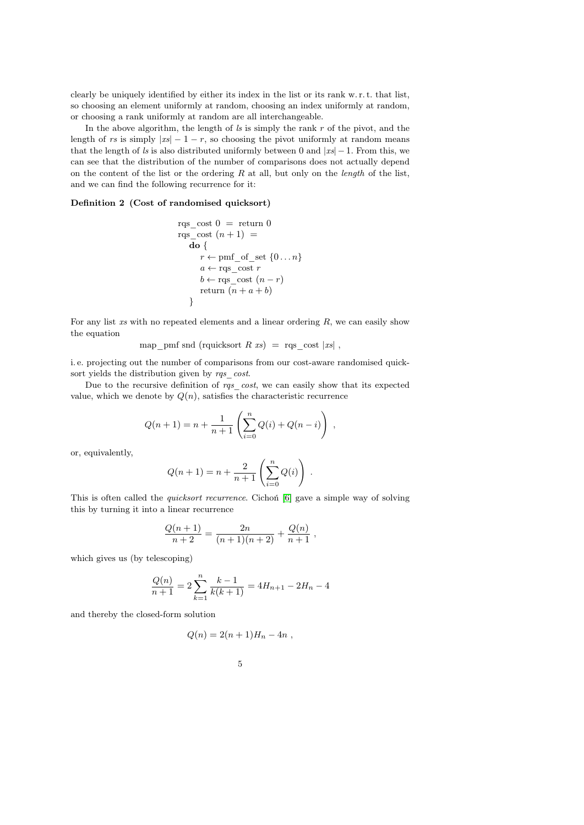clearly be uniquely identified by either its index in the list or its rank w. r. t. that list, so choosing an element uniformly at random, choosing an index uniformly at random, or choosing a rank uniformly at random are all interchangeable.

In the above algorithm, the length of  $ls$  is simply the rank  $r$  of the pivot, and the length of rs is simply  $|xs| - 1 - r$ , so choosing the pivot uniformly at random means that the length of ls is also distributed uniformly between 0 and  $|xs| - 1$ . From this, we can see that the distribution of the number of comparisons does not actually depend on the content of the list or the ordering  $R$  at all, but only on the *length* of the list, and we can find the following recurrence for it:

#### Definition 2 (Cost of randomised quicksort)

$$
rqs_{\text{cost}} 0 = return 0
$$
\n
$$
rqs_{\text{cost}} (n + 1) =
$$
\n
$$
d \cdot \left\{ \begin{array}{l} r \leftarrow pmf_{\text{post}} f_1 \cdot \ldots \cdot n \end{array} \right\}
$$
\n
$$
a \leftarrow r \cdot s_{\text{post}} r
$$
\n
$$
b \leftarrow r \cdot s_{\text{post}} (n - r)
$$
\n
$$
return (n + a + b)
$$

For any list xs with no repeated elements and a linear ordering  $R$ , we can easily show the equation

map pmf snd (rquicksort R xs) = rqs cost |xs| ,

i. e. projecting out the number of comparisons from our cost-aware randomised quicksort yields the distribution given by rqs\_cost.

Due to the recursive definition of  $rqs\;\;cost,$  we can easily show that its expected value, which we denote by  $Q(n)$ , satisfies the characteristic recurrence

$$
Q(n+1) = n + \frac{1}{n+1} \left( \sum_{i=0}^{n} Q(i) + Q(n-i) \right) ,
$$

or, equivalently,

$$
Q(n+1) = n + \frac{2}{n+1} \left( \sum_{i=0}^{n} Q(i) \right) .
$$

This is often called the quicksort recurrence. Cichoń [\[6\]](#page-27-3) gave a simple way of solving this by turning it into a linear recurrence

$$
\frac{Q(n+1)}{n+2} = \frac{2n}{(n+1)(n+2)} + \frac{Q(n)}{n+1},
$$

which gives us (by telescoping)

$$
\frac{Q(n)}{n+1} = 2\sum_{k=1}^{n} \frac{k-1}{k(k+1)} = 4H_{n+1} - 2H_n - 4
$$

and thereby the closed-form solution

$$
Q(n) = 2(n+1)H_n - 4n,
$$

$$
5\,
$$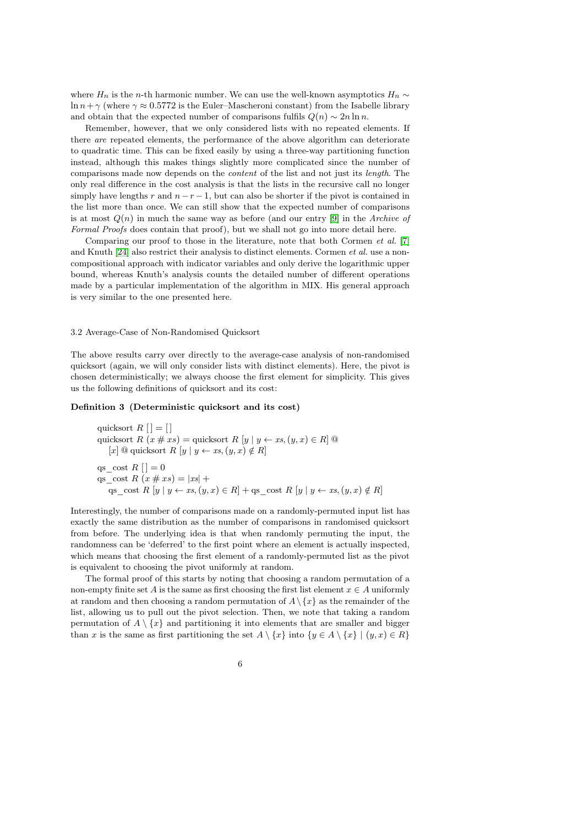where  $H_n$  is the n-th harmonic number. We can use the well-known asymptotics  $H_n \sim$  $\ln n + \gamma$  (where  $\gamma \approx 0.5772$  is the Euler–Mascheroni constant) from the Isabelle library and obtain that the expected number of comparisons fulfils  $Q(n) \sim 2n \ln n$ .

Remember, however, that we only considered lists with no repeated elements. If there are repeated elements, the performance of the above algorithm can deteriorate to quadratic time. This can be fixed easily by using a three-way partitioning function instead, although this makes things slightly more complicated since the number of comparisons made now depends on the content of the list and not just its length. The only real difference in the cost analysis is that the lists in the recursive call no longer simply have lengths r and  $n-r-1$ , but can also be shorter if the pivot is contained in the list more than once. We can still show that the expected number of comparisons is at most  $Q(n)$  in much the same way as before (and our entry [\[9\]](#page-27-0) in the Archive of Formal Proofs does contain that proof), but we shall not go into more detail here.

Comparing our proof to those in the literature, note that both Cormen et al. [\[7\]](#page-27-4) and Knuth [\[24\]](#page-28-14) also restrict their analysis to distinct elements. Cormen et al. use a noncompositional approach with indicator variables and only derive the logarithmic upper bound, whereas Knuth's analysis counts the detailed number of different operations made by a particular implementation of the algorithm in MIX. His general approach is very similar to the one presented here.

#### 3.2 Average-Case of Non-Randomised Quicksort

The above results carry over directly to the average-case analysis of non-randomised quicksort (again, we will only consider lists with distinct elements). Here, the pivot is chosen deterministically; we always choose the first element for simplicity. This gives us the following definitions of quicksort and its cost:

#### Definition 3 (Deterministic quicksort and its cost)

quicksort 
$$
R [] = []
$$
  
\nquicksort  $R (x \# xs) = \text{quicksort } R [y | y \leftarrow xs, (y, x) \in R] \text{ @}$   
\n $[x] \text{ @ quicksort } R [y | y \leftarrow xs, (y, x) \notin R]$   
\nqs\\_cost  $R [] = 0$   
\nqs\\_cost  $R (x \# xs) = |xs| +$   
\nqs - cost  $R [y | y \leftarrow xs, (y, x) \in R] + \text{qs}$  cost  $R [y | y \leftarrow xs, (y, x) \notin R]$ 

Interestingly, the number of comparisons made on a randomly-permuted input list has exactly the same distribution as the number of comparisons in randomised quicksort from before. The underlying idea is that when randomly permuting the input, the randomness can be 'deferred' to the first point where an element is actually inspected, which means that choosing the first element of a randomly-permuted list as the pivot is equivalent to choosing the pivot uniformly at random.

The formal proof of this starts by noting that choosing a random permutation of a non-empty finite set A is the same as first choosing the first list element  $x \in A$  uniformly at random and then choosing a random permutation of  $A \setminus \{x\}$  as the remainder of the list, allowing us to pull out the pivot selection. Then, we note that taking a random permutation of  $A \setminus \{x\}$  and partitioning it into elements that are smaller and bigger than x is the same as first partitioning the set  $A \setminus \{x\}$  into  $\{y \in A \setminus \{x\} \mid (y, x) \in R\}$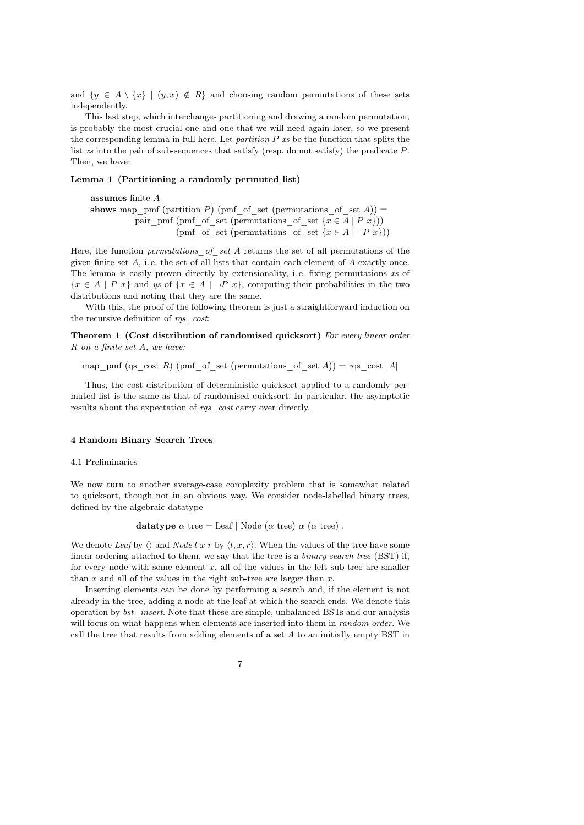and  $\{y \in A \setminus \{x\} \mid (y, x) \notin R\}$  and choosing random permutations of these sets independently.

This last step, which interchanges partitioning and drawing a random permutation, is probably the most crucial one and one that we will need again later, so we present the corresponding lemma in full here. Let  $partition P$  xs be the function that splits the list xs into the pair of sub-sequences that satisfy (resp. do not satisfy) the predicate  $P$ . Then, we have:

# Lemma 1 (Partitioning a randomly permuted list)

<span id="page-6-0"></span>assumes finite A shows map pmf (partition P) (pmf\_of\_set (permutations\_of\_set A)) = pair pmf (pmf\_of\_set (permutations\_of\_set {x ∈ A | P x})) (pmf\_of\_set (permutations\_of\_set { $x \in A | \neg P x$ }))

Here, the function *permutations*  $of$  *set A* returns the set of all permutations of the given finite set  $A$ , i.e. the set of all lists that contain each element of  $A$  exactly once. The lemma is easily proven directly by extensionality, i.e. fixing permutations xs of  ${x \in A | P x}$  and ys of  ${x \in A | \neg P x}$ , computing their probabilities in the two distributions and noting that they are the same.

With this, the proof of the following theorem is just a straightforward induction on the recursive definition of rqs\_cost:

Theorem 1 (Cost distribution of randomised quicksort) For every linear order R on a finite set A, we have:

map pmf (qs\_cost R) (pmf\_of\_set (permutations\_of\_set A)) = rqs\_cost |A|

Thus, the cost distribution of deterministic quicksort applied to a randomly permuted list is the same as that of randomised quicksort. In particular, the asymptotic results about the expectation of  $\text{rg}\_\text{cost}$  carry over directly.

### 4 Random Binary Search Trees

#### 4.1 Preliminaries

We now turn to another average-case complexity problem that is somewhat related to quicksort, though not in an obvious way. We consider node-labelled binary trees, defined by the algebraic datatype

datatype  $\alpha$  tree = Leaf | Node ( $\alpha$  tree)  $\alpha$  ( $\alpha$  tree).

We denote Leaf by  $\langle \rangle$  and Node l x r by  $\langle l, x, r \rangle$ . When the values of the tree have some linear ordering attached to them, we say that the tree is a *binary search tree* (BST) if, for every node with some element  $x$ , all of the values in the left sub-tree are smaller than  $x$  and all of the values in the right sub-tree are larger than  $x$ .

Inserting elements can be done by performing a search and, if the element is not already in the tree, adding a node at the leaf at which the search ends. We denote this operation by bst\_insert. Note that these are simple, unbalanced BSTs and our analysis will focus on what happens when elements are inserted into them in *random order*. We call the tree that results from adding elements of a set  $A$  to an initially empty BST in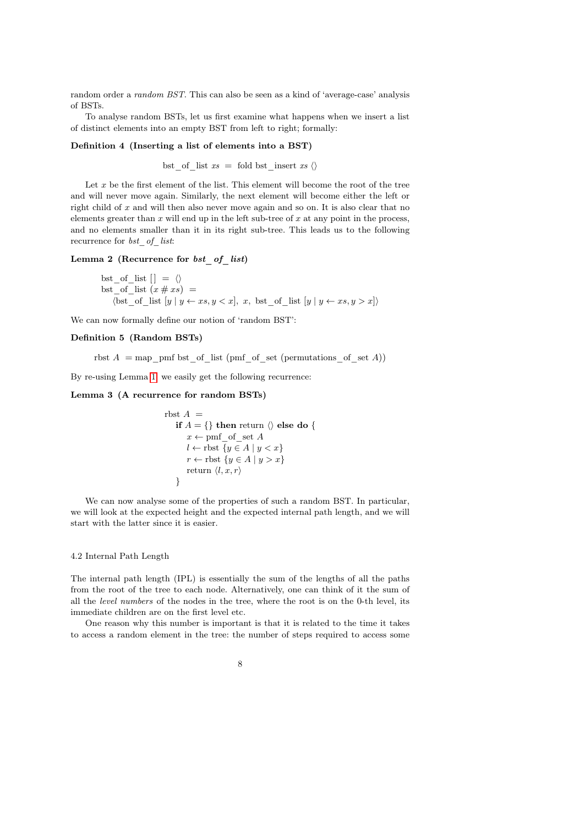random order a random BST. This can also be seen as a kind of 'average-case' analysis of BSTs.

To analyse random BSTs, let us first examine what happens when we insert a list of distinct elements into an empty BST from left to right; formally:

### Definition 4 (Inserting a list of elements into a BST)

<span id="page-7-0"></span>bst of list  $xs =$  fold bst insert  $xs \langle \rangle$ 

Let  $x$  be the first element of the list. This element will become the root of the tree and will never move again. Similarly, the next element will become either the left or right child of x and will then also never move again and so on. It is also clear that no elements greater than  $x$  will end up in the left sub-tree of  $x$  at any point in the process, and no elements smaller than it in its right sub-tree. This leads us to the following recurrence for  $bst_of_list$ :

# Lemma 2 (Recurrence for bst of list)

bst of list  $| = \langle \rangle$ bst of list  $(x \# xs) =$ (bst of list  $[y | y \leftarrow xs, y < x]$ , x, bst of list  $[y | y \leftarrow xs, y > x]$ )

We can now formally define our notion of 'random BST':

### Definition 5 (Random BSTs)

rbst  $A = \text{map\_pmf}$  bst\_of\_list (pmf\_of\_set (permutations\_of\_set A))

By re-using Lemma [1,](#page-6-0) we easily get the following recurrence:

### Lemma 3 (A recurrence for random BSTs)

<span id="page-7-1"></span>rbst 
$$
A =
$$

\nif  $A = \{\}$  then return  $\langle \rangle$  else do  $\{x \leftarrow pmf_of_set A$ 

\n $l \leftarrow$ rbst  $\{y \in A \mid y < x\}$ 

\n $r \leftarrow$ rbst  $\{y \in A \mid y > x\}$ 

\nreturn  $\langle l, x, r \rangle$ 

We can now analyse some of the properties of such a random BST. In particular, we will look at the expected height and the expected internal path length, and we will start with the latter since it is easier.

# 4.2 Internal Path Length

The internal path length (IPL) is essentially the sum of the lengths of all the paths from the root of the tree to each node. Alternatively, one can think of it the sum of all the level numbers of the nodes in the tree, where the root is on the 0-th level, its immediate children are on the first level etc.

One reason why this number is important is that it is related to the time it takes to access a random element in the tree: the number of steps required to access some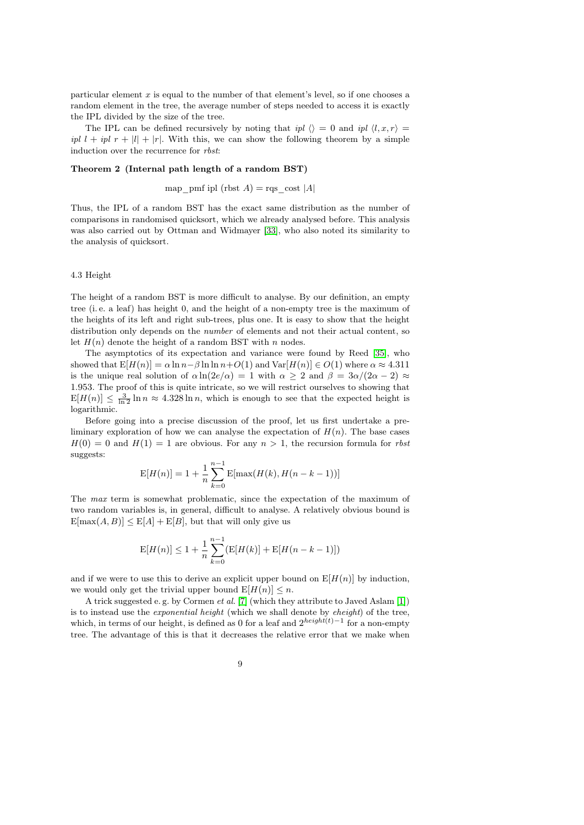particular element  $x$  is equal to the number of that element's level, so if one chooses a random element in the tree, the average number of steps needed to access it is exactly the IPL divided by the size of the tree.

The IPL can be defined recursively by noting that  $ipl \langle \rangle = 0$  and  $ipl \langle l, x, r \rangle =$ ipl  $l + ipl \ r + |l| + |r|$ . With this, we can show the following theorem by a simple induction over the recurrence for rbst:

#### Theorem 2 (Internal path length of a random BST)

map pmf ipl (rbst  $A$ ) = rqs cost |A|

Thus, the IPL of a random BST has the exact same distribution as the number of comparisons in randomised quicksort, which we already analysed before. This analysis was also carried out by Ottman and Widmayer [\[33\]](#page-29-3), who also noted its similarity to the analysis of quicksort.

### 4.3 Height

The height of a random BST is more difficult to analyse. By our definition, an empty tree (i. e. a leaf) has height 0, and the height of a non-empty tree is the maximum of the heights of its left and right sub-trees, plus one. It is easy to show that the height distribution only depends on the *number* of elements and not their actual content, so let  $H(n)$  denote the height of a random BST with n nodes.

The asymptotics of its expectation and variance were found by Reed [\[35\]](#page-29-4), who showed that  $E[H(n)] = \alpha \ln n - \beta \ln \ln n + O(1)$  and  $Var[H(n)] \in O(1)$  where  $\alpha \approx 4.311$ is the unique real solution of  $\alpha \ln(2e/\alpha) = 1$  with  $\alpha \geq 2$  and  $\beta = 3\alpha/(2\alpha - 2) \approx$ 1.953. The proof of this is quite intricate, so we will restrict ourselves to showing that  $E[H(n)] \leq \frac{3}{\ln 2} \ln n \approx 4.328 \ln n$ , which is enough to see that the expected height is logarithmic.

Before going into a precise discussion of the proof, let us first undertake a preliminary exploration of how we can analyse the expectation of  $H(n)$ . The base cases  $H(0) = 0$  and  $H(1) = 1$  are obvious. For any  $n > 1$ , the recursion formula for rbst suggests:

$$
E[H(n)] = 1 + \frac{1}{n} \sum_{k=0}^{n-1} E[\max(H(k), H(n-k-1))]
$$

The max term is somewhat problematic, since the expectation of the maximum of two random variables is, in general, difficult to analyse. A relatively obvious bound is  $E[\max(A, B)] \leq E[A] + E[B]$ , but that will only give us

$$
E[H(n)] \le 1 + \frac{1}{n} \sum_{k=0}^{n-1} (E[H(k)] + E[H(n-k-1)])
$$

and if we were to use this to derive an explicit upper bound on  $E[H(n)]$  by induction, we would only get the trivial upper bound  $E[H(n)] \leq n$ .

A trick suggested e. g. by Cormen et al. [\[7\]](#page-27-4) (which they attribute to Javed Aslam [\[1\]](#page-27-5)) is to instead use the *exponential height* (which we shall denote by *eheight*) of the tree, which, in terms of our height, is defined as 0 for a leaf and  $2^{height(t)-1}$  for a non-empty tree. The advantage of this is that it decreases the relative error that we make when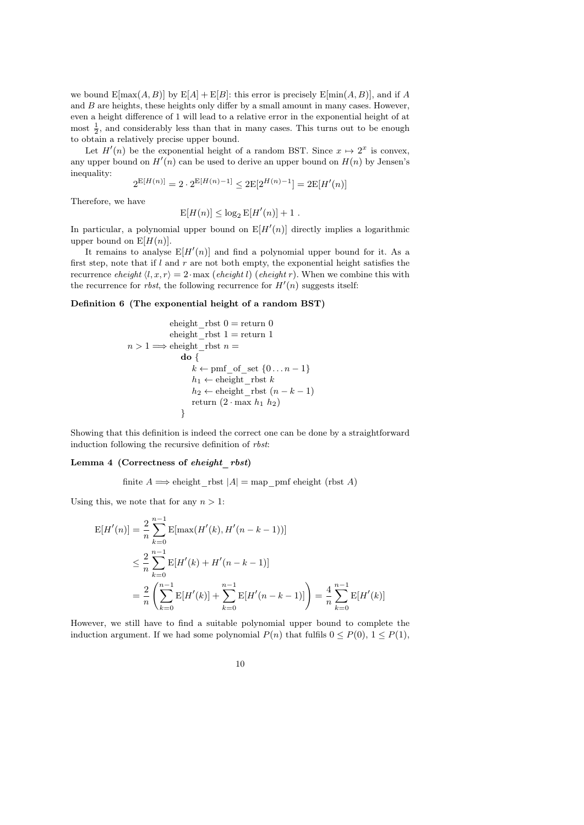we bound  $E[\max(A, B)]$  by  $E[A] + E[B]$ : this error is precisely  $E[\min(A, B)]$ , and if A and  $B$  are heights, these heights only differ by a small amount in many cases. However, even a height difference of 1 will lead to a relative error in the exponential height of at most  $\frac{1}{2}$ , and considerably less than that in many cases. This turns out to be enough to obtain a relatively precise upper bound.

Let  $H'(n)$  be the exponential height of a random BST. Since  $x \mapsto 2^x$  is convex, any upper bound on  $H'(n)$  can be used to derive an upper bound on  $H(n)$  by Jensen's inequality:

$$
2^{\mathbb{E}[H(n)]} = 2 \cdot 2^{\mathbb{E}[H(n)-1]} \le 2\mathbb{E}[2^{H(n)-1}] = 2\mathbb{E}[H'(n)]
$$

Therefore, we have

$$
E[H(n)] \leq \log_2 E[H'(n)] + 1.
$$

In particular, a polynomial upper bound on  $E[H(n)]$  directly implies a logarithmic upper bound on  $E[H(n)].$ 

It remains to analyse  $E[H'(n)]$  and find a polynomial upper bound for it. As a first step, note that if  $l$  and  $r$  are not both empty, the exponential height satisfies the recurrence eheight  $\langle l, x, r \rangle = 2 \cdot \max$  (eheight l) (eheight r). When we combine this with the recurrence for *rbst*, the following recurrence for  $H'(n)$  suggests itself:

# Definition 6 (The exponential height of a random BST)

\n
$$
\begin{array}{r}\n \text{eheight\_rbst 0 = return 0} \\
 \text{eheight\_rbst 1 = return 1} \\
 n > 1 \Longrightarrow \text{eheight\_rbst } n = \\
 \text{do } \{ \\
 k \leftarrow \text{pm\_of\_set } \{0 \dots n - 1\} \\
 h_1 \leftarrow \text{eheight\_rbst } k \\
 h_2 \leftarrow \text{eheight\_rbst } (n - k - 1) \\
 \text{return } (2 \cdot \text{max } h_1 h_2)\n \end{array}
$$
\n

Showing that this definition is indeed the correct one can be done by a straightforward induction following the recursive definition of rbst:

# Lemma 4 (Correctness of eheight\_rbst)

finite  $A \Longrightarrow$  eheight rbst  $|A| =$  map pmf eheight (rbst A)

Using this, we note that for any  $n > 1$ :

$$
E[H'(n)] = \frac{2}{n} \sum_{k=0}^{n-1} E[\max(H'(k), H'(n-k-1))]
$$
  
\n
$$
\leq \frac{2}{n} \sum_{k=0}^{n-1} E[H'(k) + H'(n-k-1)]
$$
  
\n
$$
= \frac{2}{n} \left( \sum_{k=0}^{n-1} E[H'(k)] + \sum_{k=0}^{n-1} E[H'(n-k-1)] \right) = \frac{4}{n} \sum_{k=0}^{n-1} E[H'(k)]
$$

However, we still have to find a suitable polynomial upper bound to complete the induction argument. If we had some polynomial  $P(n)$  that fulfils  $0 \leq P(0), 1 \leq P(1),$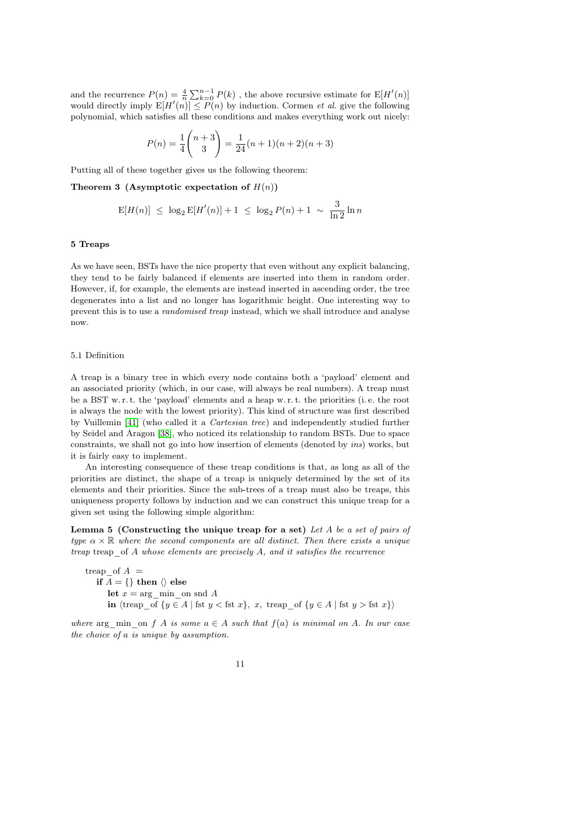and the recurrence  $P(n) = \frac{4}{n} \sum_{k=0}^{n-1} P(k)$ , the above recursive estimate for  $\mathbb{E}[H'(n)]$ would directly imply  $E[H(n)] \leq P(n)$  by induction. Cormen *et al.* give the following polynomial, which satisfies all these conditions and makes everything work out nicely:

$$
P(n) = \frac{1}{4} \binom{n+3}{3} = \frac{1}{24} (n+1)(n+2)(n+3)
$$

Putting all of these together gives us the following theorem:

Theorem 3 (Asymptotic expectation of  $H(n)$ )

$$
E[H(n)] \ \leq \ \log_2 E[H'(n)] + 1 \ \leq \ \log_2 P(n) + 1 \ \sim \ \frac{3}{\ln 2} \ln n
$$

### <span id="page-10-0"></span>5 Treaps

As we have seen, BSTs have the nice property that even without any explicit balancing, they tend to be fairly balanced if elements are inserted into them in random order. However, if, for example, the elements are instead inserted in ascending order, the tree degenerates into a list and no longer has logarithmic height. One interesting way to prevent this is to use a randomised treap instead, which we shall introduce and analyse now.

#### 5.1 Definition

A treap is a binary tree in which every node contains both a 'payload' element and an associated priority (which, in our case, will always be real numbers). A treap must be a BST w. r. t. the 'payload' elements and a heap w. r. t. the priorities (i. e. the root is always the node with the lowest priority). This kind of structure was first described by Vuillemin [\[41\]](#page-29-5) (who called it a Cartesian tree) and independently studied further by Seidel and Aragon [\[38\]](#page-29-6), who noticed its relationship to random BSTs. Due to space constraints, we shall not go into how insertion of elements (denoted by ins) works, but it is fairly easy to implement.

An interesting consequence of these treap conditions is that, as long as all of the priorities are distinct, the shape of a treap is uniquely determined by the set of its elements and their priorities. Since the sub-trees of a treap must also be treaps, this uniqueness property follows by induction and we can construct this unique treap for a given set using the following simple algorithm:

Lemma 5 (Constructing the unique treap for a set) Let  $A$  be a set of pairs of type  $\alpha \times \mathbb{R}$  where the second components are all distinct. Then there exists a unique treap treap of  $A$  whose elements are precisely  $A$ , and it satisfies the recurrence

<span id="page-10-1"></span>treap\_of  $A =$ if  $A = \{\}$  then  $\langle \rangle$  else let  $x = \arg \min$  on snd A in  $\langle \text{treap\_of } \{y \in A \mid \text{fst } y < \text{fst } x\}, x, \text{treap\_of } \{y \in A \mid \text{fst } y > \text{fst } x\} \rangle$ 

where arg min on f A is some  $a \in A$  such that  $f(a)$  is minimal on A. In our case the choice of a is unique by assumption.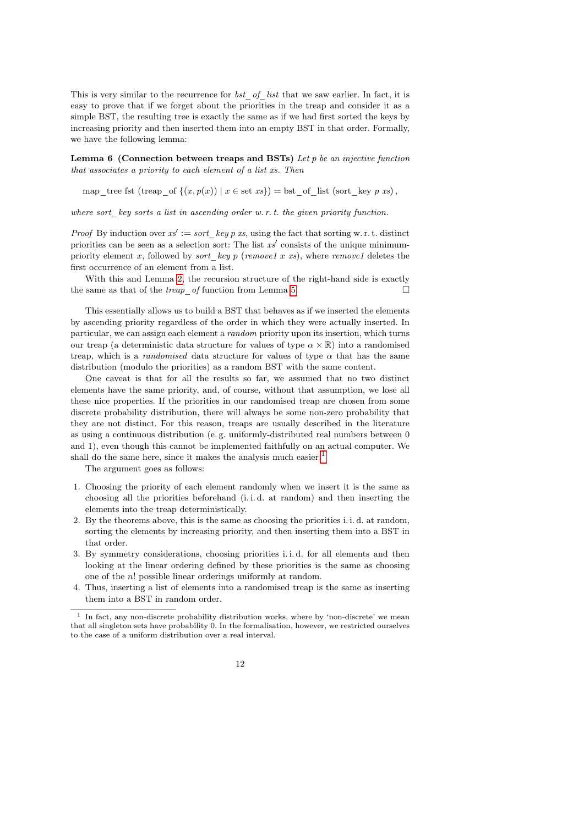This is very similar to the recurrence for bst of list that we saw earlier. In fact, it is easy to prove that if we forget about the priorities in the treap and consider it as a simple BST, the resulting tree is exactly the same as if we had first sorted the keys by increasing priority and then inserted them into an empty BST in that order. Formally, we have the following lemma:

**Lemma 6** (Connection between treaps and BSTs) Let p be an injective function that associates a priority to each element of a list xs. Then

<span id="page-11-1"></span>map\_tree fst (treap\_of  ${(x, p(x)) | x \in set \ x s}) = \text{bst\_of\_list}$  (sort\_key p xs),

where sort key sorts a list in ascending order w. r. t. the given priority function.

*Proof* By induction over  $xs' := sort\;key\;p\;xs$ , using the fact that sorting w. r. t. distinct priorities can be seen as a selection sort: The list  $xs'$  consists of the unique minimumpriority element x, followed by sort key p (remove1 x xs), where remove1 deletes the first occurrence of an element from a list.

With this and Lemma [2,](#page-7-0) the recursion structure of the right-hand side is exactly the same as that of the *treap\_of* function from Lemma [5.](#page-10-1)

This essentially allows us to build a BST that behaves as if we inserted the elements by ascending priority regardless of the order in which they were actually inserted. In particular, we can assign each element a random priority upon its insertion, which turns our treap (a deterministic data structure for values of type  $\alpha \times \mathbb{R}$ ) into a randomised treap, which is a *randomised* data structure for values of type  $\alpha$  that has the same distribution (modulo the priorities) as a random BST with the same content.

One caveat is that for all the results so far, we assumed that no two distinct elements have the same priority, and, of course, without that assumption, we lose all these nice properties. If the priorities in our randomised treap are chosen from some discrete probability distribution, there will always be some non-zero probability that they are not distinct. For this reason, treaps are usually described in the literature as using a continuous distribution (e. g. uniformly-distributed real numbers between 0 and 1), even though this cannot be implemented faithfully on an actual computer. We shall do the same here, since it makes the analysis much easier.<sup>[1](#page-11-0)</sup>

The argument goes as follows:

- 1. Choosing the priority of each element randomly when we insert it is the same as choosing all the priorities beforehand (i. i. d. at random) and then inserting the elements into the treap deterministically.
- 2. By the theorems above, this is the same as choosing the priorities i. i. d. at random, sorting the elements by increasing priority, and then inserting them into a BST in that order.
- 3. By symmetry considerations, choosing priorities i. i. d. for all elements and then looking at the linear ordering defined by these priorities is the same as choosing one of the n! possible linear orderings uniformly at random.
- 4. Thus, inserting a list of elements into a randomised treap is the same as inserting them into a BST in random order.

<span id="page-11-0"></span><sup>&</sup>lt;sup>1</sup> In fact, any non-discrete probability distribution works, where by 'non-discrete' we mean that all singleton sets have probability 0. In the formalisation, however, we restricted ourselves to the case of a uniform distribution over a real interval.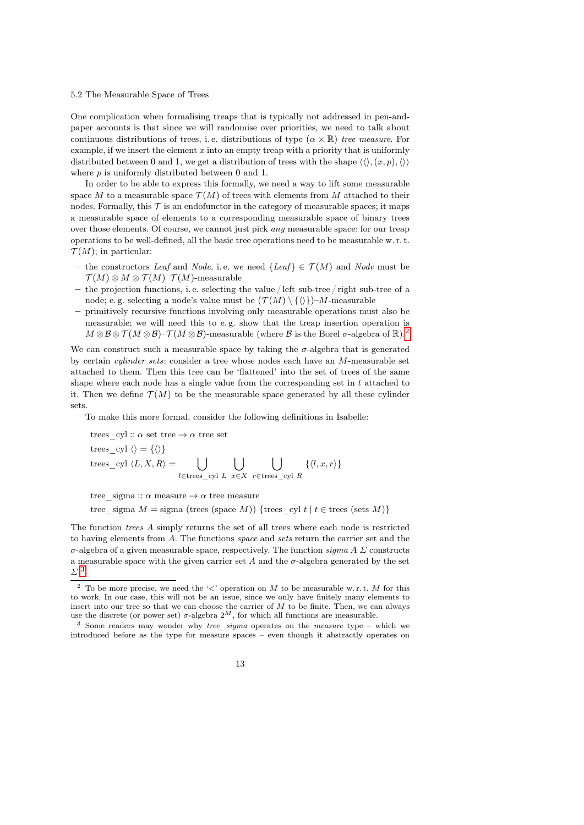#### 5.2 The Measurable Space of Trees

One complication when formalising treaps that is typically not addressed in pen-andpaper accounts is that since we will randomise over priorities, we need to talk about continuous distributions of trees, i.e. distributions of type  $(\alpha \times \mathbb{R})$  tree measure. For example, if we insert the element  $x$  into an empty treap with a priority that is uniformly distributed between 0 and 1, we get a distribution of trees with the shape  $\langle \langle , (x, p), \langle \rangle \rangle$ where  $p$  is uniformly distributed between 0 and 1.

In order to be able to express this formally, we need a way to lift some measurable space M to a measurable space  $\mathcal{T}(M)$  of trees with elements from M attached to their nodes. Formally, this  $\mathcal T$  is an endofunctor in the category of measurable spaces; it maps a measurable space of elements to a corresponding measurable space of binary trees over those elements. Of course, we cannot just pick any measurable space: for our treap operations to be well-defined, all the basic tree operations need to be measurable w. r. t.  $\mathcal{T}(M)$ ; in particular:

- the constructors Leaf and Node, i.e. we need  $\{Leaf\} \in \mathcal{T}(M)$  and Node must be  $\mathcal{T}(M) \otimes M \otimes \mathcal{T}(M)$ - $\mathcal{T}(M)$ -measurable
- the projection functions, i. e. selecting the value / left sub-tree / right sub-tree of a node; e. g. selecting a node's value must be  $(\mathcal{T}(M) \setminus \{ \langle \rangle \})-M$ -measurable
- primitively recursive functions involving only measurable operations must also be measurable; we will need this to e. g. show that the treap insertion operation is  $M \otimes B \otimes \mathcal{T}(M \otimes B)$ – $\mathcal{T}(M \otimes B)$ -measurable (where  $B$  is the Borel  $\sigma$ -algebra of  $\mathbb{R}$ ).<sup>[2](#page-12-0)</sup>

We can construct such a measurable space by taking the  $\sigma$ -algebra that is generated by certain cylinder sets: consider a tree whose nodes each have an M-measurable set attached to them. Then this tree can be 'flattened' into the set of trees of the same shape where each node has a single value from the corresponding set in  $t$  attached to it. Then we define  $\mathcal{T}(M)$  to be the measurable space generated by all these cylinder sets.

To make this more formal, consider the following definitions in Isabelle:

$$
\begin{aligned}\n\text{trees\_cyl} :: \alpha \text{ set tree} &\rightarrow \alpha \text{ tree set} \\
\text{trees\_cyl } \langle \rangle &= \{ \langle \rangle \} \\
\text{trees\_cyl } \langle L, X, R \rangle &= \bigcup_{l \in \text{trees\_cyl } L} \bigcup_{x \in X} \bigcup_{r \in \text{trees\_cyl } R} \{ \langle l, x, r \rangle \} \\
\end{aligned}
$$

tree sigma  $\therefore$   $\alpha$  measure  $\rightarrow \alpha$  tree measure

tree sigma  $M =$ sigma (trees (space M)) {trees cyl t  $| t \in$  trees (sets M)}

The function trees A simply returns the set of all trees where each node is restricted to having elements from A. The functions space and sets return the carrier set and the σ-algebra of a given measurable space, respectively. The function sigma A Σ constructs a measurable space with the given carrier set  $A$  and the  $\sigma$ -algebra generated by the set Σ. [3](#page-12-1)

<span id="page-12-0"></span><sup>&</sup>lt;sup>2</sup> To be more precise, we need the ' $\lt'$ ' operation on M to be measurable w.r.t. M for this to work. In our case, this will not be an issue, since we only have finitely many elements to insert into our tree so that we can choose the carrier of  $M$  to be finite. Then, we can always use the discrete (or power set)  $\sigma$ -algebra  $2^M$ , for which all functions are measurable.

<span id="page-12-1"></span><sup>&</sup>lt;sup>3</sup> Some readers may wonder why *tree\_sigma* operates on the *measure* type – which we introduced before as the type for measure spaces – even though it abstractly operates on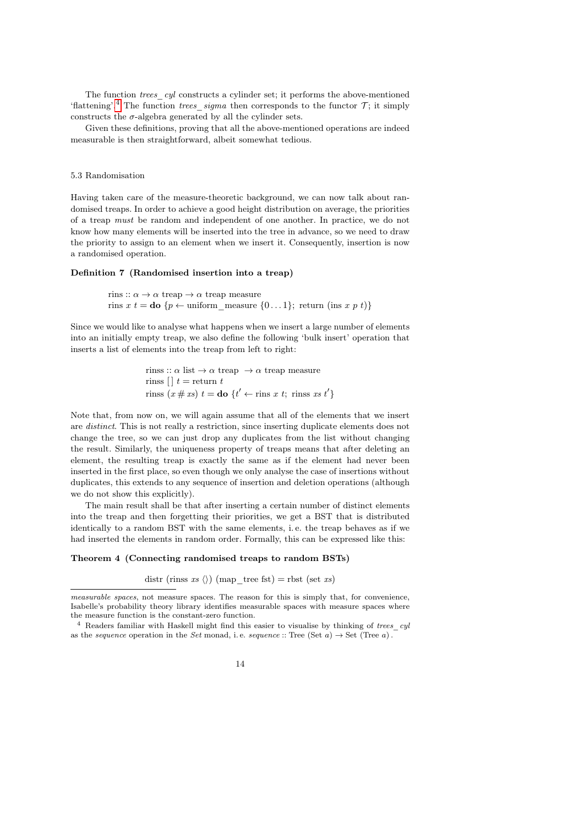The function trees  $\,$  cyl constructs a cylinder set; it performs the above-mentioned 'flattening'.<sup>[4](#page-13-0)</sup> The function *trees* sigma then corresponds to the functor  $\mathcal{T}$ ; it simply constructs the  $\sigma$ -algebra generated by all the cylinder sets.

Given these definitions, proving that all the above-mentioned operations are indeed measurable is then straightforward, albeit somewhat tedious.

### 5.3 Randomisation

Having taken care of the measure-theoretic background, we can now talk about randomised treaps. In order to achieve a good height distribution on average, the priorities of a treap must be random and independent of one another. In practice, we do not know how many elements will be inserted into the tree in advance, so we need to draw the priority to assign to an element when we insert it. Consequently, insertion is now a randomised operation.

# Definition 7 (Randomised insertion into a treap)

rins  $\therefore \alpha \to \alpha$  treap  $\to \alpha$  treap measure rins  $x \, t =$ **do**  $\{p \leftarrow \text{uniform} \text{ measure } \{0 \dots 1\}; \text{ return (ins } x \, p \, t)\}\$ 

Since we would like to analyse what happens when we insert a large number of elements into an initially empty treap, we also define the following 'bulk insert' operation that inserts a list of elements into the treap from left to right:

> rinss ::  $\alpha$  list  $\rightarrow \alpha$  treap  $\rightarrow \alpha$  treap measure rinss  $[ \ ] t =$ return t rinss  $(x \# xs) t =$ **do**  $\{t' \leftarrow$  rins x t; rinss xs t'}

Note that, from now on, we will again assume that all of the elements that we insert are distinct. This is not really a restriction, since inserting duplicate elements does not change the tree, so we can just drop any duplicates from the list without changing the result. Similarly, the uniqueness property of treaps means that after deleting an element, the resulting treap is exactly the same as if the element had never been inserted in the first place, so even though we only analyse the case of insertions without duplicates, this extends to any sequence of insertion and deletion operations (although we do not show this explicitly).

The main result shall be that after inserting a certain number of distinct elements into the treap and then forgetting their priorities, we get a BST that is distributed identically to a random BST with the same elements, i. e. the treap behaves as if we had inserted the elements in random order. Formally, this can be expressed like this:

# Theorem 4 (Connecting randomised treaps to random BSTs)

distr (rinss xs  $\langle \rangle$ ) (map tree fst) = rbst (set xs)

measurable spaces, not measure spaces. The reason for this is simply that, for convenience, Isabelle's probability theory library identifies measurable spaces with measure spaces where the measure function is the constant-zero function.

<span id="page-13-0"></span> $4$  Readers familiar with Haskell might find this easier to visualise by thinking of trees\_cyl as the sequence operation in the Set monad, i.e. sequence :: Tree (Set a)  $\rightarrow$  Set (Tree a).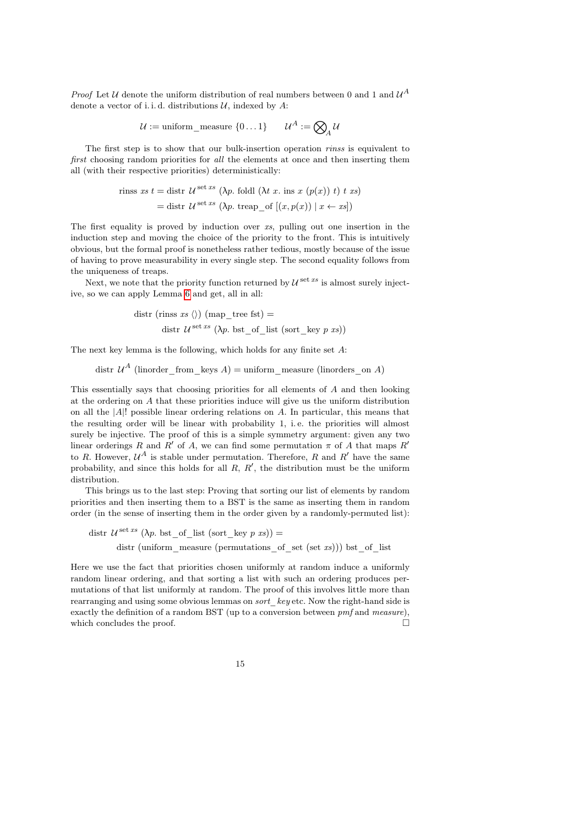*Proof* Let U denote the uniform distribution of real numbers between 0 and 1 and  $\mathcal{U}^A$ denote a vector of i. i. d. distributions  $\mathcal{U}$ , indexed by  $A$ :

 $\mathcal{U}:=\operatorname{uniform\_measure} \ \{0 \dots 1\} \qquad \mathcal{U}^{A}:=\bigotimes_{A} \mathcal{U}$ 

The first step is to show that our bulk-insertion operation *rinss* is equivalent to first choosing random priorities for all the elements at once and then inserting them all (with their respective priorities) deterministically:

rinss 
$$
xs t = \text{distr } \mathcal{U}^{\text{set } xs} \text{ (}\lambda p \text{. foldl } \text{ (}\lambda t \text{ } x \text{. ins } x \text{ (}p(x) \text{) } t \text{) } t \text{ } xs \text{)}
$$
  
=  $\text{distr } \mathcal{U}^{\text{set } xs} \text{ (}\lambda p \text{. treap } \text{ of } \text{[(}x, p(x) \text{) } | \text{ } x \leftarrow xs \text{]}$ 

The first equality is proved by induction over xs, pulling out one insertion in the induction step and moving the choice of the priority to the front. This is intuitively obvious, but the formal proof is nonetheless rather tedious, mostly because of the issue of having to prove measurability in every single step. The second equality follows from the uniqueness of treaps.

Next, we note that the priority function returned by  $\mathcal{U}^{\text{set }xs}$  is almost surely injective, so we can apply Lemma [6](#page-11-1) and get, all in all:

$$
\begin{aligned}\n\text{distr (rinss } \, xs \, \langle \rangle) \, \left( \text{map\_tree \, fst} \right) &= \\
\text{distr } \mathcal{U}^{\text{set } xs} \, \left( \lambda p. \, \text{bst\_of\_list} \, \left( \text{sort\_key } p \, \, xs \right) \right)\n\end{aligned}
$$

The next key lemma is the following, which holds for any finite set A:

distr  $\mathcal{U}^A$  (linorder from keys A) = uniform measure (linorders on A)

This essentially says that choosing priorities for all elements of A and then looking at the ordering on A that these priorities induce will give us the uniform distribution on all the  $|A|!$  possible linear ordering relations on A. In particular, this means that the resulting order will be linear with probability 1, i. e. the priorities will almost surely be injective. The proof of this is a simple symmetry argument: given any two linear orderings R and R' of A, we can find some permutation  $\pi$  of A that maps R' to R. However,  $\mathcal{U}^{A}$  is stable under permutation. Therefore, R and R' have the same probability, and since this holds for all  $R, R'$ , the distribution must be the uniform distribution.

This brings us to the last step: Proving that sorting our list of elements by random priorities and then inserting them to a BST is the same as inserting them in random order (in the sense of inserting them in the order given by a randomly-permuted list):

$$
distr \mathcal{U}^{set xs} (\lambda p. \text{bst_of_list } (sort\_key p xs)) =
$$
  
distr (uniform\_meansure (permutations\_of\_set (set xs)))  $bst_of_list$ 

Here we use the fact that priorities chosen uniformly at random induce a uniformly random linear ordering, and that sorting a list with such an ordering produces permutations of that list uniformly at random. The proof of this involves little more than rearranging and using some obvious lemmas on *sort* key etc. Now the right-hand side is exactly the definition of a random BST (up to a conversion between pmf and measure), which concludes the proof.  $\hfill \square$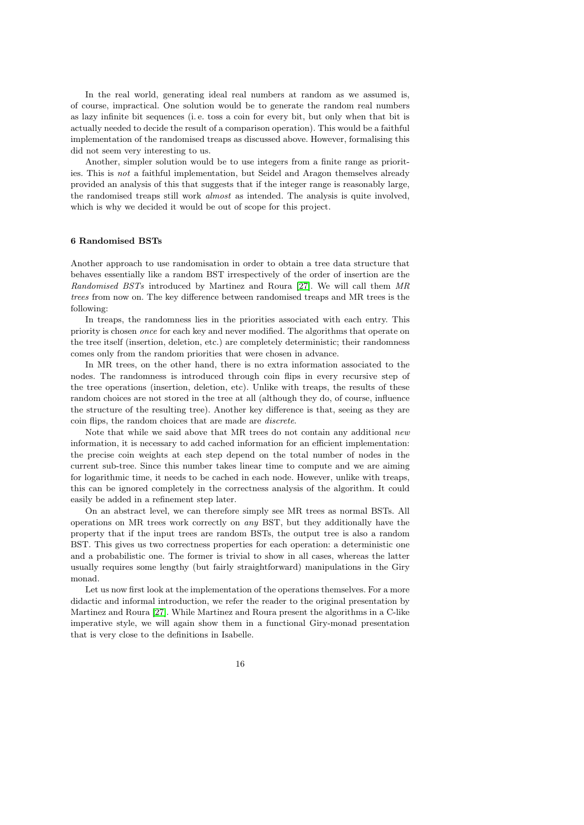In the real world, generating ideal real numbers at random as we assumed is, of course, impractical. One solution would be to generate the random real numbers as lazy infinite bit sequences (i. e. toss a coin for every bit, but only when that bit is actually needed to decide the result of a comparison operation). This would be a faithful implementation of the randomised treaps as discussed above. However, formalising this did not seem very interesting to us.

Another, simpler solution would be to use integers from a finite range as priorities. This is not a faithful implementation, but Seidel and Aragon themselves already provided an analysis of this that suggests that if the integer range is reasonably large, the randomised treaps still work almost as intended. The analysis is quite involved, which is why we decided it would be out of scope for this project.

#### 6 Randomised BSTs

Another approach to use randomisation in order to obtain a tree data structure that behaves essentially like a random BST irrespectively of the order of insertion are the Randomised BSTs introduced by Martinez and Roura [\[27\]](#page-28-3). We will call them MR trees from now on. The key difference between randomised treaps and MR trees is the following:

In treaps, the randomness lies in the priorities associated with each entry. This priority is chosen once for each key and never modified. The algorithms that operate on the tree itself (insertion, deletion, etc.) are completely deterministic; their randomness comes only from the random priorities that were chosen in advance.

In MR trees, on the other hand, there is no extra information associated to the nodes. The randomness is introduced through coin flips in every recursive step of the tree operations (insertion, deletion, etc). Unlike with treaps, the results of these random choices are not stored in the tree at all (although they do, of course, influence the structure of the resulting tree). Another key difference is that, seeing as they are coin flips, the random choices that are made are discrete.

Note that while we said above that MR trees do not contain any additional new information, it is necessary to add cached information for an efficient implementation: the precise coin weights at each step depend on the total number of nodes in the current sub-tree. Since this number takes linear time to compute and we are aiming for logarithmic time, it needs to be cached in each node. However, unlike with treaps, this can be ignored completely in the correctness analysis of the algorithm. It could easily be added in a refinement step later.

On an abstract level, we can therefore simply see MR trees as normal BSTs. All operations on MR trees work correctly on any BST, but they additionally have the property that if the input trees are random BSTs, the output tree is also a random BST. This gives us two correctness properties for each operation: a deterministic one and a probabilistic one. The former is trivial to show in all cases, whereas the latter usually requires some lengthy (but fairly straightforward) manipulations in the Giry monad.

Let us now first look at the implementation of the operations themselves. For a more didactic and informal introduction, we refer the reader to the original presentation by Martinez and Roura [\[27\]](#page-28-3). While Martinez and Roura present the algorithms in a C-like imperative style, we will again show them in a functional Giry-monad presentation that is very close to the definitions in Isabelle.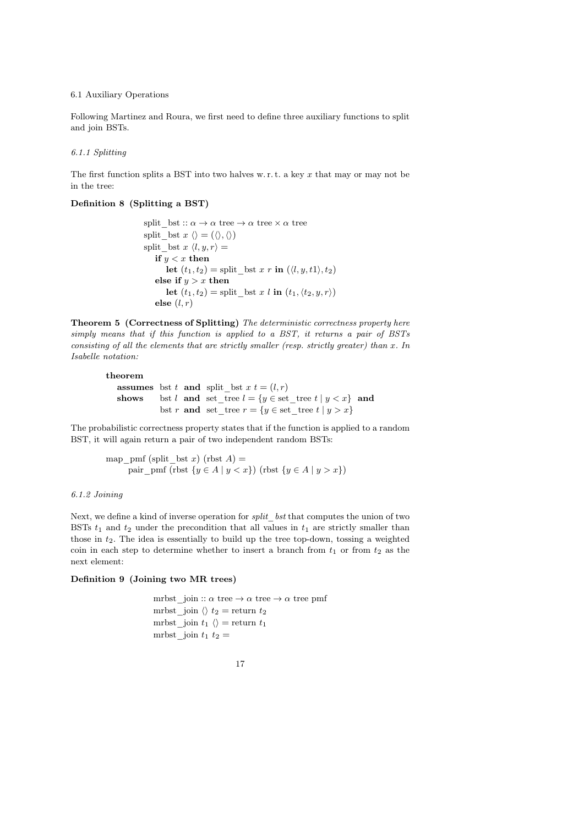# 6.1 Auxiliary Operations

Following Martinez and Roura, we first need to define three auxiliary functions to split and join BSTs.

### 6.1.1 Splitting

The first function splits a BST into two halves w.r.t. a key  $x$  that may or may not be in the tree:

# Definition 8 (Splitting a BST)

```
split bst :: \alpha \rightarrow \alpha tree \rightarrow \alpha tree \times \alpha tree
split bst x \langle \rangle = (\langle \rangle, \langle \rangle)split bst x \langle l, y, r \rangle =if y < x then
         let (t_1, t_2) = split bst x r in (\langle l, y, t1 \rangle, t_2)else if y > x then
         let (t_1, t_2) = split bst x l in (t_1, \langle t_2, y, r \rangle)else (l, r)
```
Theorem 5 (Correctness of Splitting) The deterministic correctness property here simply means that if this function is applied to a BST, it returns a pair of BSTs consisting of all the elements that are strictly smaller (resp. strictly greater) than x. In Isabelle notation:

### theorem

assumes bst t and split bst  $x t = (l, r)$ shows bst l and set\_tree  $l = \{y \in \text{set\_tree} \ t \mid y < x\}$  and bst r and set\_tree  $r = \{y \in \text{set\_tree } t \mid y > x\}$ 

The probabilistic correctness property states that if the function is applied to a random BST, it will again return a pair of two independent random BSTs:

> map pmf (split bst x) (rbst A) = pair\_pmf (rbst  $\{y \in A \mid y < x\}$ ) (rbst  $\{y \in A \mid y > x\}$ )

### 6.1.2 Joining

Next, we define a kind of inverse operation for *split* bst that computes the union of two BSTs  $t_1$  and  $t_2$  under the precondition that all values in  $t_1$  are strictly smaller than those in  $t_2$ . The idea is essentially to build up the tree top-down, tossing a weighted coin in each step to determine whether to insert a branch from  $t_1$  or from  $t_2$  as the next element:

### Definition 9 (Joining two MR trees)

<span id="page-16-0"></span>mrbst join ::  $\alpha$  tree  $\rightarrow \alpha$  tree  $\rightarrow \alpha$  tree pmf mrbst join  $\langle \rangle t_2$  = return  $t_2$ mrbst\_join  $t_1 \langle \rangle$  = return  $t_1$ mrbst join  $t_1$   $t_2$  =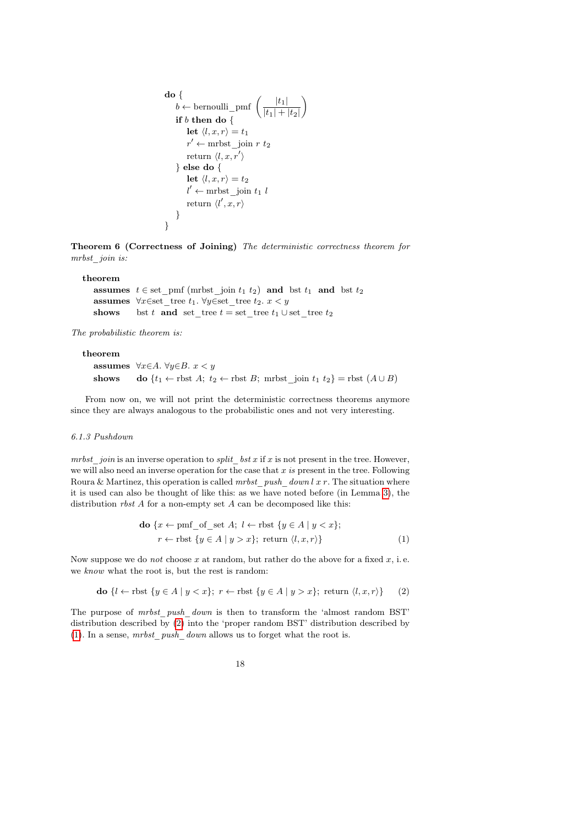$$
\mathbf{do} \left\{ \begin{array}{c} \mathbf{do} \left\{ \begin{array}{c} |t_1| \\ b \leftarrow \text{bernoulli\_pmf} \end{array} \left( \frac{|t_1|}{|t_1| + |t_2|} \right) \right. \right. \\ \text{if } b \text{ then } \mathbf{do} \left\{ \begin{array}{c} | \mathbf{te} \left( l, x, r \right) = t_1 \\ r' \leftarrow \text{mrbst\_join } r \ t_2 \end{array} \right. \\ \text{return } \left\langle l, x, r' \right\rangle \end{array} \right\}
$$
\n
$$
\text{else } \mathbf{do} \left\{ \begin{array}{c} \text{let } \left\langle l, x, r \right\rangle = t_2 \\ l' \leftarrow \text{mrbst\_join } t_1 \ l \end{array} \right. \\ \text{return } \left\langle l', x, r \right\rangle \end{array}
$$

Theorem 6 (Correctness of Joining) The deterministic correctness theorem for mrbst join is:

### theorem

assumes  $t \in \text{set\_pmf}$  (mrbst\_join  $t_1$   $t_2$ ) and bst  $t_1$  and bst  $t_2$ assumes  $\forall x \in \text{set}$ \_tree  $t_1$ .  $\forall y \in \text{set}$ \_tree  $t_2$ .  $x < y$ shows bst t and set tree  $t =$  set tree  $t_1 \cup$  set tree  $t_2$ 

The probabilistic theorem is:

#### theorem

assumes  $∀x∈A. ∀y∈B. x < y$ shows do  $\{t_1 \leftarrow \text{rbst } A; t_2 \leftarrow \text{rbst } B; \text{ mrbst\_join } t_1 t_2\} = \text{rbst } (A \cup B)$ 

From now on, we will not print the deterministic correctness theorems anymore since they are always analogous to the probabilistic ones and not very interesting.

### 6.1.3 Pushdown

mrbst join is an inverse operation to split bst x if x is not present in the tree. However, we will also need an inverse operation for the case that  $x$  is present in the tree. Following Roura & Martinez, this operation is called  $mrbst\_push\_down \, l \, x \, r$ . The situation where it is used can also be thought of like this: as we have noted before (in Lemma [3\)](#page-7-1), the distribution  $rbst$   $A$  for a non-empty set  $A$  can be decomposed like this:

<span id="page-17-1"></span>
$$
\text{do } \{x \leftarrow \text{pmf\_of\_set } A; \ l \leftarrow \text{rbst } \{y \in A \mid y < x\};
$$
\n
$$
r \leftarrow \text{rbst } \{y \in A \mid y > x\}; \text{ return } \langle l, x, r \rangle\} \tag{1}
$$

Now suppose we do *not* choose  $x$  at random, but rather do the above for a fixed  $x$ , i.e. we know what the root is, but the rest is random:

<span id="page-17-0"></span>
$$
\mathbf{do} \{l \leftarrow \text{rbst} \{y \in A \mid y < x\}; \ r \leftarrow \text{rbst} \{y \in A \mid y > x\}; \ \text{return} \langle l, x, r \rangle\} \tag{2}
$$

The purpose of mrbst push down is then to transform the 'almost random BST' distribution described by [\(2\)](#page-17-0) into the 'proper random BST' distribution described by [\(1\)](#page-17-1). In a sense, mrbst push down allows us to forget what the root is.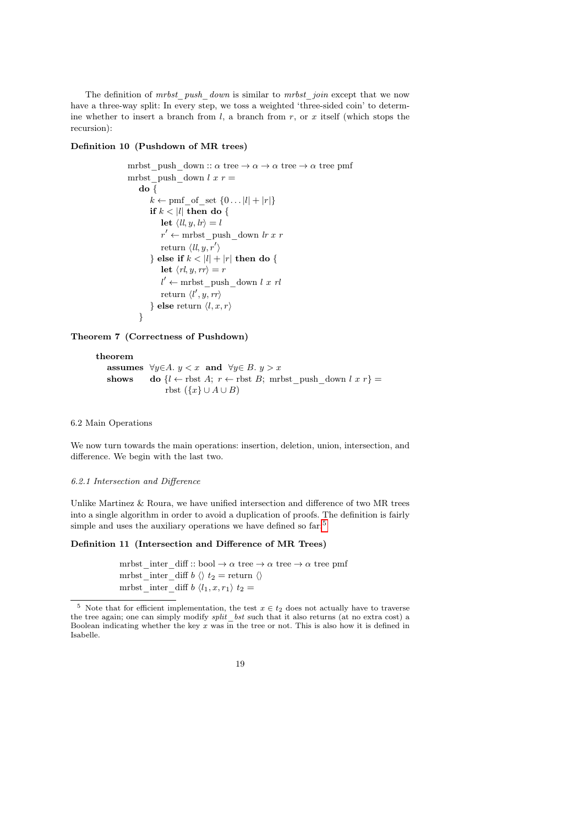The definition of  $mrbst\_push\_down$  is similar to  $mrbst\_join$  except that we now have a three-way split: In every step, we toss a weighted 'three-sided coin' to determine whether to insert a branch from  $l$ , a branch from  $r$ , or  $x$  itself (which stops the recursion):

# Definition 10 (Pushdown of MR trees)

```
mrbst_push_down :: \alpha tree \rightarrow \alpha \rightarrow \alpha tree \rightarrow \alpha tree pmf
mrbst push down l x r =do {
        k \leftarrow \text{pmf} of set \{0 \dots |l| + |r|\}if k < |l| then do {
            let \langle ll, y, lr \rangle = lr' \leftarrow mrbst push down lr x rreturn \langle ll, y, r'\rangle} else if k < |l| + |r| then do {
            let \langle rl, y, rr \rangle = rl' \leftarrow mrbst push down l x r lreturn \langle l', y, rr \rangle} else return \langle l, x, r \rangle}
```
Theorem 7 (Correctness of Pushdown)

```
theorem
   assumes ∀y∈A. y < x and ∀y∈B. y > xshows do \{l \leftarrow \text{rbst } A; r \leftarrow \text{rbst } B; \text{mrbst } \text{push } \text{ down } l \ x \ r\} =rbst ({x} \cup A \cup B)
```
# 6.2 Main Operations

We now turn towards the main operations: insertion, deletion, union, intersection, and difference. We begin with the last two.

# 6.2.1 Intersection and Difference

Unlike Martinez & Roura, we have unified intersection and difference of two MR trees into a single algorithm in order to avoid a duplication of proofs. The definition is fairly simple and uses the auxiliary operations we have defined so far:<sup>[5](#page-18-0)</sup>

# Definition 11 (Intersection and Difference of MR Trees)

mrbst inter diff :: bool  $\rightarrow \alpha$  tree  $\rightarrow \alpha$  tree  $\rightarrow \alpha$  tree pmf mrbst inter diff b  $\langle \rangle t_2 =$  return  $\langle \rangle$ mrbst inter diff b  $\langle l_1, x, r_1 \rangle$  t<sub>2</sub> =

<span id="page-18-0"></span><sup>&</sup>lt;sup>5</sup> Note that for efficient implementation, the test  $x \in t_2$  does not actually have to traverse the tree again; one can simply modify split bst such that it also returns (at no extra cost) a Boolean indicating whether the key x was in the tree or not. This is also how it is defined in Isabelle.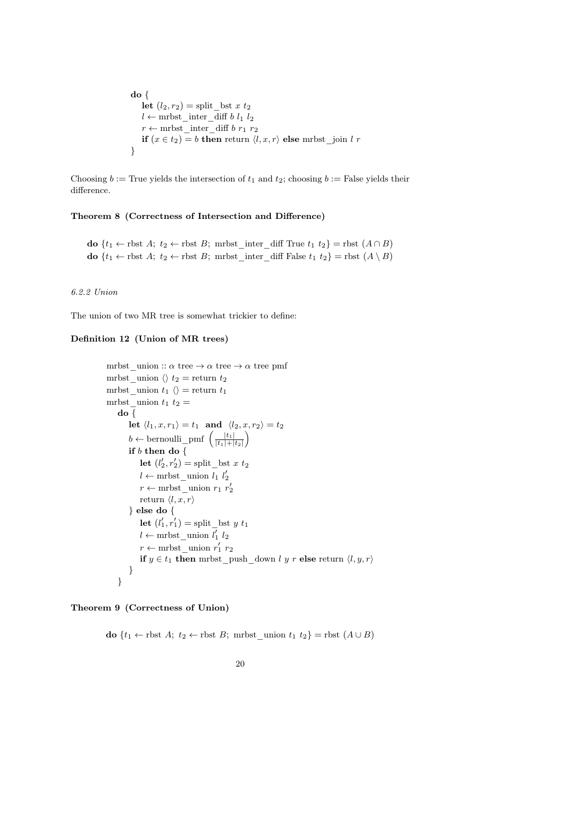```
do {
   let (l_2, r_2) = split bst x t<sub>2</sub>
   l ← mrbst inter diff b l_1 l_2r \leftarrow mrbst inter diff b r_1 r<sub>2</sub>
   if (x \in t_2) = b then return \langle l, x, r \rangle else mrbst join l r
}
```
Choosing  $b :=$  True yields the intersection of  $t_1$  and  $t_2$ ; choosing  $b :=$  False yields their difference.

### Theorem 8 (Correctness of Intersection and Difference)

do  $\{t_1 \leftarrow \text{rbst } A; t_2 \leftarrow \text{rbst } B; \text{ mrbst} \text{ inter diff True } t_1 t_2\} = \text{rbst } (A \cap B)$ do  $\{t_1 \leftarrow \text{rbst } A; t_2 \leftarrow \text{rbst } B; \text{ mrbst } \text{ inter } \text{ diff } \text{False } t_1 t_2\} = \text{rbst } (A \setminus B)$ 

### 6.2.2 Union

The union of two MR tree is somewhat trickier to define:

# Definition 12 (Union of MR trees)

```
mrbst union :: \alpha tree \rightarrow \alpha tree \rightarrow \alpha tree pmf
mrbst union \langle \rangle t_2 = return t_2mrbst union t_1 \langle \rangle = return t_1mrbst\_union t_1 t_2 =do {
         let \langle l_1, x, r_1 \rangle = t_1 and \langle l_2, x, r_2 \rangle = t_2b \leftarrow bernoulli pmf \left(\frac{|t_1|}{|t_1|+1}\right)\frac{|t_1|}{|t_1|+|t_2|}if b then do \{let (l'_2, r'_2) = \text{split} bst x t<sub>2</sub>
              l \leftarrow \text{mrbst\_union} \ l_1 \ l'_2r \leftarrow \text{mrbst\_union} \ r_1 \ r_2'return \langle l, x, r \rangle} else do {
              let (l'_1, r'_1) = \text{split} bst y t<sub>1</sub>
              l \leftarrow \text{mrbst\_union } l'_1 \ l_2r \leftarrow \text{mrbst\_union } r'_1 r_2if y \in t_1 then mrbst push down l y r else return \langle l, y, r \rangle}
    }
```
# Theorem 9 (Correctness of Union)

do  $\{t_1 \leftarrow \text{rbst } A; t_2 \leftarrow \text{rbst } B; \text{mrbst} \text{ union } t_1 t_2\} = \text{rbst } (A \cup B)$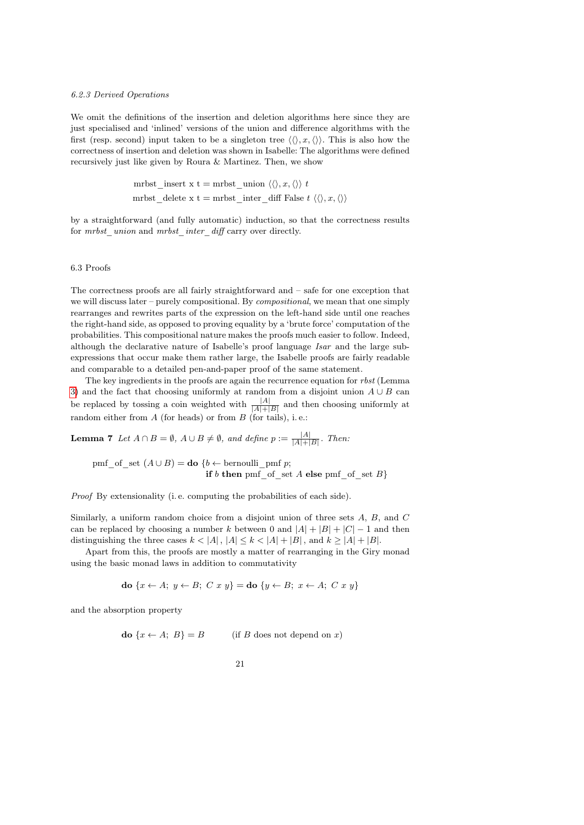#### 6.2.3 Derived Operations

We omit the definitions of the insertion and deletion algorithms here since they are just specialised and 'inlined' versions of the union and difference algorithms with the first (resp. second) input taken to be a singleton tree  $\langle \langle \rangle, x, \langle \rangle$ . This is also how the correctness of insertion and deletion was shown in Isabelle: The algorithms were defined recursively just like given by Roura & Martinez. Then, we show

> mrbst insert x t = mrbst union  $\langle \langle \rangle, x, \langle \rangle \rangle$  t mrbst\_delete x t = mrbst\_inter\_diff False  $t \langle \langle \rangle, x, \langle \rangle \rangle$

by a straightforward (and fully automatic) induction, so that the correctness results for mrbst union and mrbst inter diff carry over directly.

#### 6.3 Proofs

The correctness proofs are all fairly straightforward and – safe for one exception that we will discuss later – purely compositional. By compositional, we mean that one simply rearranges and rewrites parts of the expression on the left-hand side until one reaches the right-hand side, as opposed to proving equality by a 'brute force' computation of the probabilities. This compositional nature makes the proofs much easier to follow. Indeed, although the declarative nature of Isabelle's proof language Isar and the large subexpressions that occur make them rather large, the Isabelle proofs are fairly readable and comparable to a detailed pen-and-paper proof of the same statement.

The key ingredients in the proofs are again the recurrence equation for rbst (Lemma [3\)](#page-7-1) and the fact that choosing uniformly at random from a disjoint union  $A \cup B$  can be replaced by tossing a coin weighted with  $\frac{|A|}{|A|+|B|}$  and then choosing uniformly at random either from  $A$  (for heads) or from  $B$  (for tails), i.e.:

**Lemma 7** Let  $A \cap B = \emptyset$ ,  $A \cup B \neq \emptyset$ , and define  $p := \frac{|A|}{\|A\| + \|B\|}$  $\frac{|A|}{|A|+|B|}$ . Then:

<span id="page-20-0"></span>pmf of set  $(A \cup B) =$ **do** {b ← bernoulli pmf p; if b then pmf\_of\_set A else pmf\_of\_set B}

Proof By extensionality (i. e. computing the probabilities of each side).

Similarly, a uniform random choice from a disjoint union of three sets A, B, and C can be replaced by choosing a number k between 0 and  $|A| + |B| + |C| - 1$  and then distinguishing the three cases  $k < |A|$ ,  $|A| \le k < |A| + |B|$ , and  $k \ge |A| + |B|$ .

Apart from this, the proofs are mostly a matter of rearranging in the Giry monad using the basic monad laws in addition to commutativity

do  $\{x \leftarrow A; y \leftarrow B; C x y\} =$ do  $\{y \leftarrow B; x \leftarrow A; C x y\}$ 

and the absorption property

do  $\{x \leftarrow A; B\} = B$  (if B does not depend on x)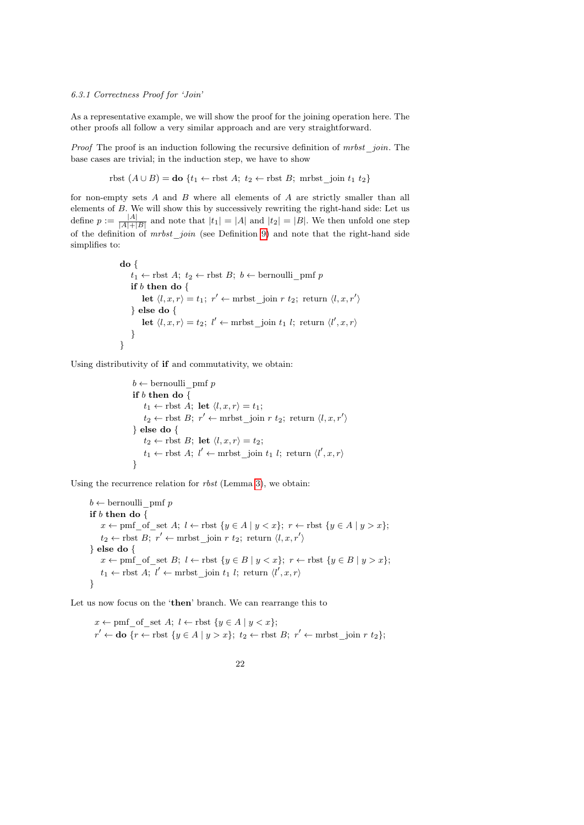### 6.3.1 Correctness Proof for 'Join'

As a representative example, we will show the proof for the joining operation here. The other proofs all follow a very similar approach and are very straightforward.

Proof The proof is an induction following the recursive definition of *mrbst* join. The base cases are trivial; in the induction step, we have to show

rbst  $(A \cup B) =$ **do**  $\{t_1 \leftarrow$  rbst  $A; t_2 \leftarrow$  rbst  $B;$  mrbst join  $t_1 t_2\}$ 

for non-empty sets  $A$  and  $B$  where all elements of  $A$  are strictly smaller than all elements of B. We will show this by successively rewriting the right-hand side: Let us define  $p := \frac{|A|}{|A|+1}$  $\frac{|A|}{|A|+|B|}$  and note that  $|t_1|=|A|$  and  $|t_2|=|B|$ . We then unfold one step of the definition of *mrbst* join (see Definition [9\)](#page-16-0) and note that the right-hand side simplifies to:

```
do {
    t_1 \leftarrowrbst A; t_2 \leftarrowrbst B; b \leftarrow bernoulli pmf p
    if b then do {
          let \langle l, x, r \rangle = t_1; r' \leftarrow \text{mrbst\_join } r \ t_2; return \langle l, x, r' \rangle} else do {
          let \langle l, x, r \rangle = t_2; l' \leftarrow \text{mrbst\_join } t_1 \; l; return \langle l', x, r \rangle}
}
```
Using distributivity of if and commutativity, we obtain:

```
b \leftarrow bernoulli pmf p
if b then do {
     t_1 \leftarrow rbst A; let \langle l, x, r \rangle = t_1;t_2 \leftarrow \text{rbst } B; \ r' \leftarrow \text{mrbst\_join } r \ t_2; \ \text{return } \langle l, x, r' \rangle} else do {
    t_2 \leftarrow rbst B; let \langle l, x, r \rangle = t_2;
      t_1 \leftarrow \text{rbst } A; \; l' \leftarrow \text{mrbst\_join } t_1 \; l; \; \text{return } \langle l', x, r \rangle}
```
Using the recurrence relation for rbst (Lemma [3\)](#page-7-1), we obtain:

 $b \leftarrow$  bernoulli pmf p if  $b$  then do {  $x \leftarrow \text{pmf}$  of set  $A; l \leftarrow \text{rbst} \{y \in A \mid y < x\}; r \leftarrow \text{rbst} \{y \in A \mid y > x\};$  $t_2 \leftarrow \text{rbst } B; \ r' \leftarrow \text{mrbst\_join } r \ t_2; \ \text{return } \langle l, x, r' \rangle$ } else do {  $x \leftarrow \text{pmf\_of\_set } B; \ l \leftarrow \text{rbst } \{y \in B \mid y < x\}; \ r \leftarrow \text{rbst } \{y \in B \mid y > x\};$  $t_1 \leftarrow \text{rbst } A; \; l' \leftarrow \text{mrbst\_join } t_1 \; l; \; \text{return } \langle l', x, r \rangle$ }

Let us now focus on the 'then' branch. We can rearrange this to

 $x \leftarrow \text{pmf}$  of set  $A; l \leftarrow \text{rbst} \{y \in A \mid y < x\};$  $r' \leftarrow$  do  $\{r \leftarrow \text{rbst } \{y \in A \mid y > x\}; t_2 \leftarrow \text{rbst } B; r' \leftarrow \text{mrbst\_join } r t_2\};$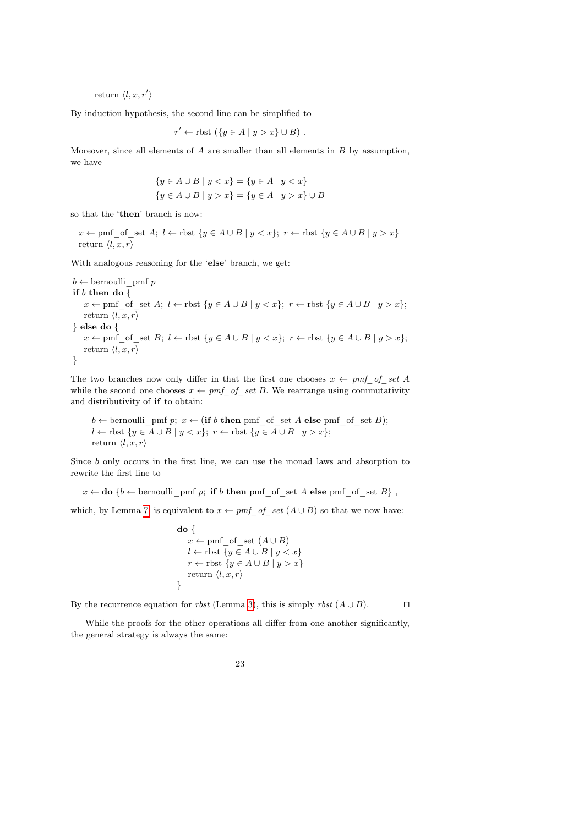return  $\langle l, x, r' \rangle$ 

By induction hypothesis, the second line can be simplified to

$$
r' \leftarrow \text{rbst } (\{y \in A \mid y > x\} \cup B) .
$$

Moreover, since all elements of  $A$  are smaller than all elements in  $B$  by assumption, we have

$$
\{y \in A \cup B \mid y < x\} = \{y \in A \mid y < x\}
$$
\n
$$
\{y \in A \cup B \mid y > x\} = \{y \in A \mid y > x\} \cup B
$$

so that the 'then' branch is now:

 $x \leftarrow \text{pmf}$  of set  $A; l \leftarrow \text{rbst} \{y \in A \cup B \mid y < x\}; r \leftarrow \text{rbst} \{y \in A \cup B \mid y > x\}$ return  $\langle l, x, r \rangle$ 

With analogous reasoning for the 'else' branch, we get:

```
b \leftarrow bernoulli pmf p
if b then do {
    x \leftarrow \text{pmf} of set A; l \leftarrow \text{rbst} \{y \in A \cup B \mid y < x\}; r \leftarrow \text{rbst} \{y \in A \cup B \mid y > x\};return \langle l, x, r \rangle} else do {
    x \leftarrow \text{pmf} of set B; l \leftarrow \text{rbst} \{y \in A \cup B \mid y < x\}; r \leftarrow \text{rbst} \{y \in A \cup B \mid y > x\};return \langle l, x, r \rangle}
```
The two branches now only differ in that the first one chooses  $x \leftarrow pmf$  of set A while the second one chooses  $x \leftarrow pmf$  of set B. We rearrange using commutativity and distributivity of if to obtain:

 $b \leftarrow$  bernoulli pmf p;  $x \leftarrow$  (if b then pmf\_of\_set A else pmf\_of\_set B); l ← rbst  $\{y \in A \cup B \mid y < x\}$ ;  $r \leftarrow$  rbst  $\{y \in A \cup B \mid y > x\}$ ; return  $\langle l, x, r \rangle$ 

Since b only occurs in the first line, we can use the monad laws and absorption to rewrite the first line to

 $x \leftarrow$  do  $\{b \leftarrow$  bernoulli pmf p; if b then pmf of set A else pmf of set B},

which, by Lemma [7,](#page-20-0) is equivalent to  $x \leftarrow pmf$  of set  $(A \cup B)$  so that we now have:

$$
\mathbf{do} \{ \quad x \leftarrow \text{pmf\_of\_set} \ (A \cup B) \\ l \leftarrow \text{rbst} \{ y \in A \cup B \mid y < x \} \\ r \leftarrow \text{rbst} \{ y \in A \cup B \mid y > x \} \\ \text{return} \ \langle l, x, r \rangle \}
$$

By the recurrence equation for *rbst* (Lemma [3\)](#page-7-1), this is simply *rbst*  $(A \cup B)$ .  $\square$ 

While the proofs for the other operations all differ from one another significantly, the general strategy is always the same: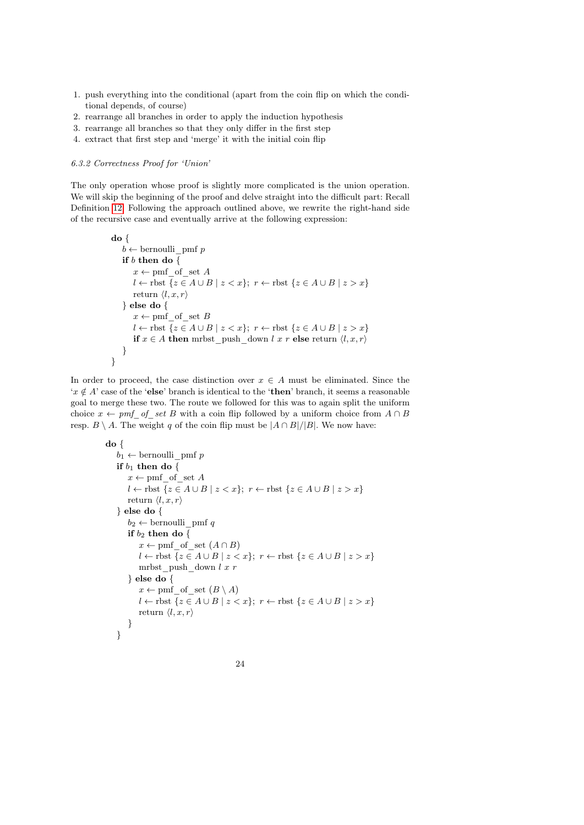- 1. push everything into the conditional (apart from the coin flip on which the conditional depends, of course)
- 2. rearrange all branches in order to apply the induction hypothesis
- 3. rearrange all branches so that they only differ in the first step
- 4. extract that first step and 'merge' it with the initial coin flip

# 6.3.2 Correctness Proof for 'Union'

The only operation whose proof is slightly more complicated is the union operation. We will skip the beginning of the proof and delve straight into the difficult part: Recall Definition [12.](#page-19-0) Following the approach outlined above, we rewrite the right-hand side of the recursive case and eventually arrive at the following expression:

```
do {
   b \leftarrow bernoulli_pmf p
   if b then do \{x \leftarrow \text{pmf} of set A
       l ← rbst \{z \in A \cup B \mid z < x\}; r \leftarrow rbst \{z \in A \cup B \mid z > x\}return \langle l, x, r \rangle} else do {
       x \leftarrow \text{pmf} of set B
       l ← rbst \{z \in A \cup B \mid z < x\}; r \leftarrow rbst \{z \in A \cup B \mid z > x\}if x \in A then mrbst push down l x r else return \langle l, x, r \rangle}
}
```
In order to proceed, the case distinction over  $x \in A$  must be eliminated. Since the 'x  $\notin A'$  case of the 'else' branch is identical to the 'then' branch, it seems a reasonable goal to merge these two. The route we followed for this was to again split the uniform choice  $x \leftarrow pmf$  of set B with a coin flip followed by a uniform choice from  $A \cap B$ resp. B \ A. The weight q of the coin flip must be  $|A \cap B|/|B|$ . We now have:

# do {

```
b_1 \leftarrow bernoulli pmf p
if b_1 then do {
    x \leftarrow \text{pmf} of set A
    l \leftarrow rbst \{z \in A \cup B \mid z < x\}; r \leftarrow rbst \{z \in A \cup B \mid z > x\}return \langle l, x, r \rangle} else do {
    b_2 \leftarrow bernoulli pmf q
    if b_2 then do {
        x \leftarrowpmf of set (A \cap B)l ← rbst \{z \in A \cup B \mid z < x\}; r \leftarrow rbst \{z \in A \cup B \mid z > x\}mrbst push down l x r} else do {
        x \leftarrow \text{pmf} of set (B \setminus A)l ← rbst \{z \in A \cup B \mid z < x\}; r \leftarrow rbst \{z \in A \cup B \mid z > x\}return \langle l, x, r \rangle}
}
```
24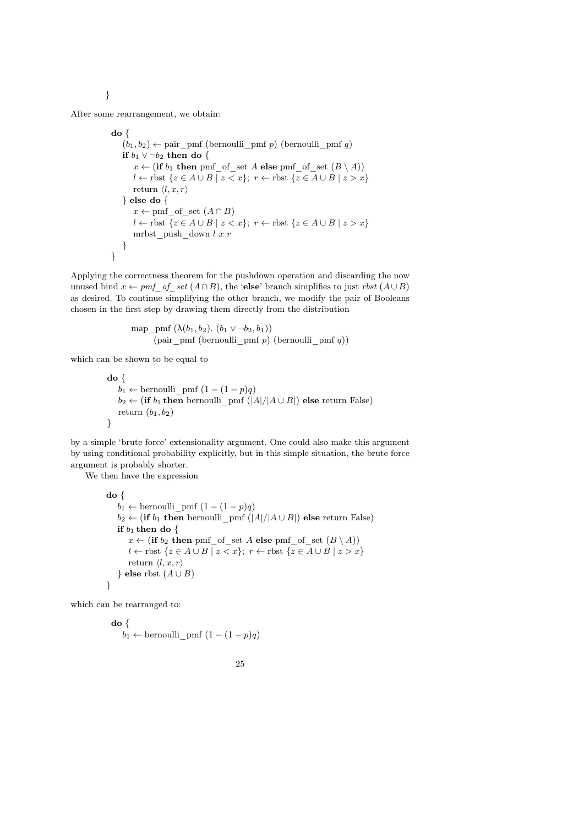After some rearrangement, we obtain:

}

```
do {
    (b_1, b_2) \leftarrow pair pmf (bernoulli pmf p) (bernoulli pmf q)
   if b_1 ∨ ∎b_2 then do {
       x \leftarrow (if b_1 then pmf_of_set A else pmf_of_set (B \setminus A))
       l ← rbst \{z \in A \cup B \mid z < x\}; r \leftarrow rbst \{z \in A \cup B \mid z > x\}return \langle l, x, r \rangle} else do {
       x \leftarrow \text{pmf} of set (A \cap B)l ← rbst \{z \in A \cup B \mid z < x\}; r \leftarrowrbst \{z \in A \cup B \mid z > x\}mrbst_push_down l x r}
}
```
Applying the correctness theorem for the pushdown operation and discarding the now unused bind  $x \leftarrow pmf$  of set  $(A \cap B)$ , the 'else' branch simplifies to just rbst  $(A \cup B)$ as desired. To continue simplifying the other branch, we modify the pair of Booleans chosen in the first step by drawing them directly from the distribution

map\\_pmf 
$$
(\lambda(b_1, b_2), (b_1 \vee \neg b_2, b_1))
$$
  
(pair pmf (bernoulli pmf p) (bernoulli pmf q))

which can be shown to be equal to

do {  $b_1 \leftarrow$  bernoulli pmf  $(1 - (1 - p)q)$  $b_2 \leftarrow ($ if  $b_1$  then bernoulli pmf  $(|A|/|A \cup B|)$  else return False) return  $(b_1, b_2)$ }

by a simple 'brute force' extensionality argument. One could also make this argument by using conditional probability explicitly, but in this simple situation, the brute force argument is probably shorter.

We then have the expression

```
do {
   b_1 \leftarrow bernoulli pmf (1 - (1 - p)q)b_2 \leftarrow (if b_1 then bernoulli pmf (|A|/|A \cup B|) else return False)
   if b_1 then do {
       x \leftarrow (if b_2 then pmf_of_set A else pmf_of_set (B \setminus A))
       l ← rbst \{z \in A \cup B \mid z < x\}; r \leftarrow rbst \{z \in A \cup B \mid z > x\}return \langle l, x, r \rangle} else rbst (A ∪ B)}
```
which can be rearranged to:

```
do {
   b_1 \leftarrow bernoulli pmf (1 - (1 - p)q)
```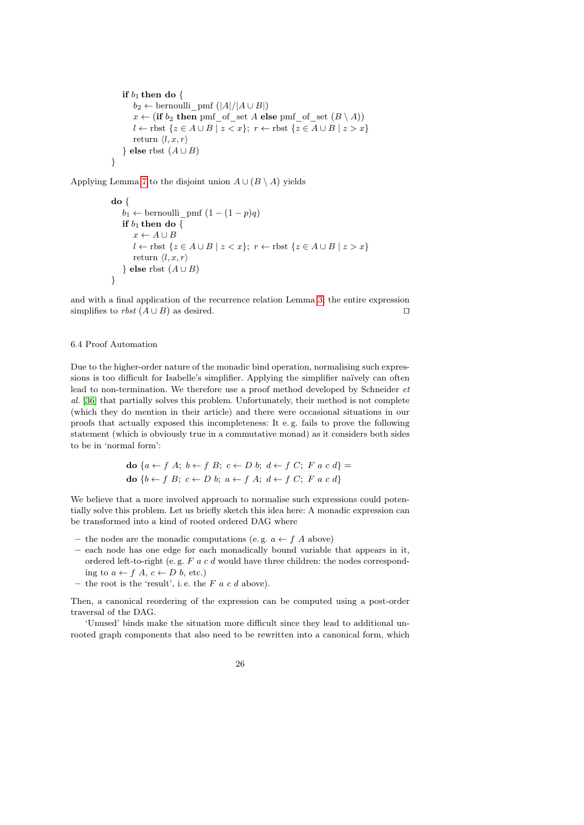```
if b_1 then do {
       b_2 \leftarrow bernoulli pmf (|A|/|A \cup B|)x \leftarrow (if b_2 then pmf_of_set A else pmf_of_set (B \setminus A))
       l ← rbst \{z \in A \cup B \mid z < x\}; r \leftarrow rbst \{z \in A \cup B \mid z > x\}return \langle l, x, r \rangle} else rbst (A ∪ B)}
```
Applying Lemma [7](#page-20-0) to the disjoint union  $A \cup (B \setminus A)$  yields

```
do {
   b_1 \leftarrow bernoulli pmf (1 - (1 - p)q)if b_1 then do {
       x \leftarrow A \cup Bl ← rbst \{z \in A \cup B \mid z < x\}; r \leftarrow rbst \{z \in A \cup B \mid z > x\}return \langle l, x, r \rangle} else rbst (A ∪ B)}
```
and with a final application of the recurrence relation Lemma [3,](#page-7-1) the entire expression simplifies to rbst  $(A \cup B)$  as desired.

### 6.4 Proof Automation

Due to the higher-order nature of the monadic bind operation, normalising such expressions is too difficult for Isabelle's simplifier. Applying the simplifier naïvely can often lead to non-termination. We therefore use a proof method developed by Schneider et al. [\[36\]](#page-29-7) that partially solves this problem. Unfortunately, their method is not complete (which they do mention in their article) and there were occasional situations in our proofs that actually exposed this incompleteness: It e. g. fails to prove the following statement (which is obviously true in a commutative monad) as it considers both sides to be in 'normal form':

$$
\text{do } \{a \leftarrow f \ A; \ b \leftarrow f \ B; \ c \leftarrow D \ b; \ d \leftarrow f \ C; \ F \ a \ c \ d\} =
$$
\n
$$
\text{do } \{b \leftarrow f \ B; \ c \leftarrow D \ b; \ a \leftarrow f \ A; \ d \leftarrow f \ C; \ F \ a \ c \ d\}
$$

We believe that a more involved approach to normalise such expressions could potentially solve this problem. Let us briefly sketch this idea here: A monadic expression can be transformed into a kind of rooted ordered DAG where

- the nodes are the monadic computations (e.g.  $a \leftarrow f A$  above)
- each node has one edge for each monadically bound variable that appears in it, ordered left-to-right (e.g.  $F$   $a$   $c$   $d$  would have three children: the nodes corresponding to  $a \leftarrow f A$ ,  $c \leftarrow D b$ , etc.)
- the root is the 'result', i.e. the  $F$  a c d above).

Then, a canonical reordering of the expression can be computed using a post-order traversal of the DAG.

'Unused' binds make the situation more difficult since they lead to additional unrooted graph components that also need to be rewritten into a canonical form, which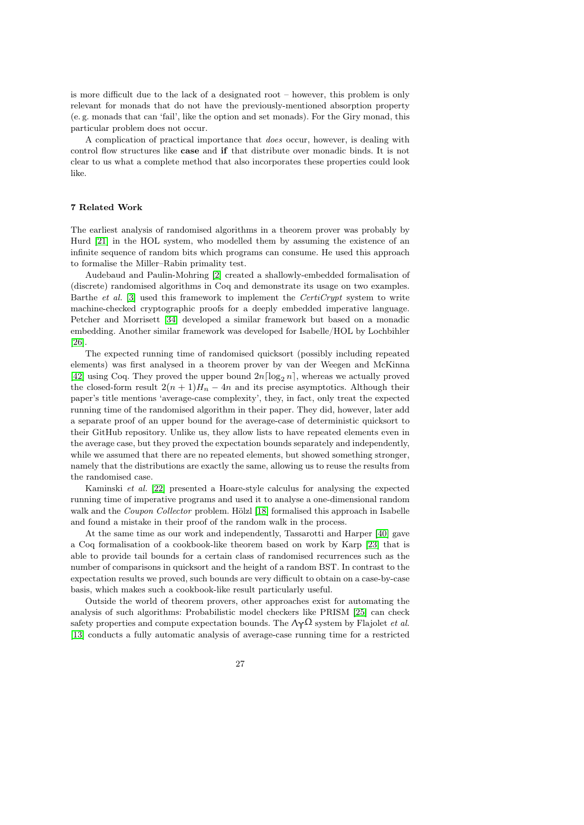is more difficult due to the lack of a designated root – however, this problem is only relevant for monads that do not have the previously-mentioned absorption property (e. g. monads that can 'fail', like the option and set monads). For the Giry monad, this particular problem does not occur.

A complication of practical importance that does occur, however, is dealing with control flow structures like case and if that distribute over monadic binds. It is not clear to us what a complete method that also incorporates these properties could look like.

# 7 Related Work

The earliest analysis of randomised algorithms in a theorem prover was probably by Hurd [\[21\]](#page-28-15) in the HOL system, who modelled them by assuming the existence of an infinite sequence of random bits which programs can consume. He used this approach to formalise the Miller–Rabin primality test.

Audebaud and Paulin-Mohring [\[2\]](#page-27-6) created a shallowly-embedded formalisation of (discrete) randomised algorithms in Coq and demonstrate its usage on two examples. Barthe *et al.* [\[3\]](#page-27-7) used this framework to implement the *CertiCrupt* system to write machine-checked cryptographic proofs for a deeply embedded imperative language. Petcher and Morrisett [\[34\]](#page-29-8) developed a similar framework but based on a monadic embedding. Another similar framework was developed for Isabelle/HOL by Lochbihler [\[26\]](#page-28-16).

The expected running time of randomised quicksort (possibly including repeated elements) was first analysed in a theorem prover by van der Weegen and McKinna [\[42\]](#page-29-9) using Coq. They proved the upper bound  $2n\lceil \log_2 n \rceil$ , whereas we actually proved the closed-form result  $2(n + 1)H_n - 4n$  and its precise asymptotics. Although their paper's title mentions 'average-case complexity', they, in fact, only treat the expected running time of the randomised algorithm in their paper. They did, however, later add a separate proof of an upper bound for the average-case of deterministic quicksort to their GitHub repository. Unlike us, they allow lists to have repeated elements even in the average case, but they proved the expectation bounds separately and independently, while we assumed that there are no repeated elements, but showed something stronger, namely that the distributions are exactly the same, allowing us to reuse the results from the randomised case.

Kaminski et al. [\[22\]](#page-28-17) presented a Hoare-style calculus for analysing the expected running time of imperative programs and used it to analyse a one-dimensional random walk and the *Coupon Collector* problem. Hölzl [\[18\]](#page-28-18) formalised this approach in Isabelle and found a mistake in their proof of the random walk in the process.

At the same time as our work and independently, Tassarotti and Harper [\[40\]](#page-29-10) gave a Coq formalisation of a cookbook-like theorem based on work by Karp [\[23\]](#page-28-19) that is able to provide tail bounds for a certain class of randomised recurrences such as the number of comparisons in quicksort and the height of a random BST. In contrast to the expectation results we proved, such bounds are very difficult to obtain on a case-by-case basis, which makes such a cookbook-like result particularly useful.

Outside the world of theorem provers, other approaches exist for automating the analysis of such algorithms: Probabilistic model checkers like PRISM [\[25\]](#page-28-20) can check safety properties and compute expectation bounds. The  $\Lambda \gamma \Omega$  system by Flajolet *et al.* [\[13\]](#page-28-21) conducts a fully automatic analysis of average-case running time for a restricted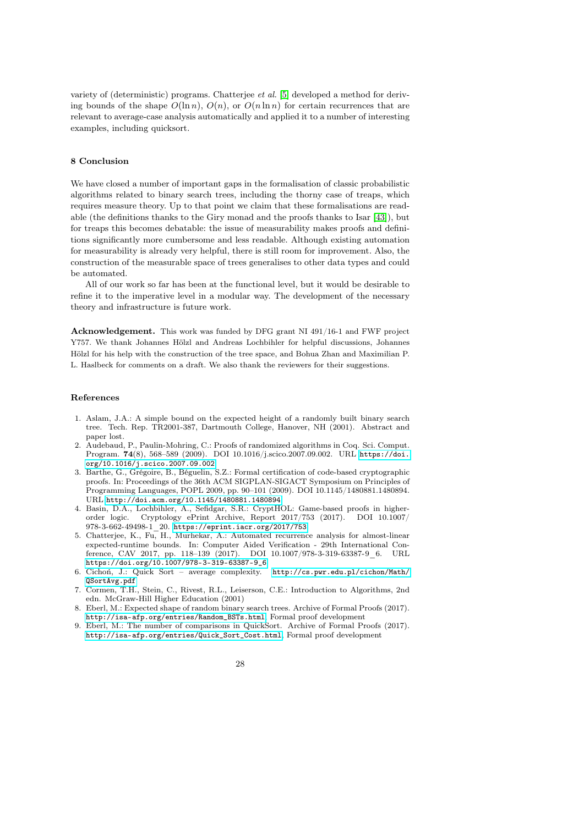variety of (deterministic) programs. Chatterjee et al. [\[5\]](#page-27-8) developed a method for deriving bounds of the shape  $O(\ln n)$ ,  $O(n)$ , or  $O(n \ln n)$  for certain recurrences that are relevant to average-case analysis automatically and applied it to a number of interesting examples, including quicksort.

#### 8 Conclusion

We have closed a number of important gaps in the formalisation of classic probabilistic algorithms related to binary search trees, including the thorny case of treaps, which requires measure theory. Up to that point we claim that these formalisations are readable (the definitions thanks to the Giry monad and the proofs thanks to Isar [\[43\]](#page-29-11)), but for treaps this becomes debatable: the issue of measurability makes proofs and definitions significantly more cumbersome and less readable. Although existing automation for measurability is already very helpful, there is still room for improvement. Also, the construction of the measurable space of trees generalises to other data types and could be automated.

All of our work so far has been at the functional level, but it would be desirable to refine it to the imperative level in a modular way. The development of the necessary theory and infrastructure is future work.

Acknowledgement. This work was funded by DFG grant NI 491/16-1 and FWF project Y757. We thank Johannes Hölzl and Andreas Lochbihler for helpful discussions, Johannes Hölzl for his help with the construction of the tree space, and Bohua Zhan and Maximilian P. L. Haslbeck for comments on a draft. We also thank the reviewers for their suggestions.

#### References

- <span id="page-27-5"></span>1. Aslam, J.A.: A simple bound on the expected height of a randomly built binary search tree. Tech. Rep. TR2001-387, Dartmouth College, Hanover, NH (2001). Abstract and paper lost.
- <span id="page-27-6"></span>2. Audebaud, P., Paulin-Mohring, C.: Proofs of randomized algorithms in Coq. Sci. Comput. Program. 74(8), 568-589 (2009). DOI 10.1016/j.scico.2007.09.002. URL [https://doi.](https://doi.org/10.1016/j.scico.2007.09.002) [org/10.1016/j.scico.2007.09.002](https://doi.org/10.1016/j.scico.2007.09.002)
- <span id="page-27-7"></span>3. Barthe, G., Grégoire, B., Béguelin, S.Z.: Formal certification of code-based cryptographic proofs. In: Proceedings of the 36th ACM SIGPLAN-SIGACT Symposium on Principles of Programming Languages, POPL 2009, pp. 90–101 (2009). DOI 10.1145/1480881.1480894. URL <http://doi.acm.org/10.1145/1480881.1480894>
- <span id="page-27-2"></span>4. Basin, D.A., Lochbihler, A., Sefidgar, S.R.: CryptHOL: Game-based proofs in higherorder logic. Cryptology ePrint Archive, Report 2017/753 (2017). DOI 10.1007/ 978-3-662-49498-1\_20. <https://eprint.iacr.org/2017/753>
- <span id="page-27-8"></span>5. Chatterjee, K., Fu, H., Murhekar, A.: Automated recurrence analysis for almost-linear expected-runtime bounds. In: Computer Aided Verification - 29th International Conference, CAV 2017, pp. 118-139 (2017). DOI 10.1007/978-3-319-63387-9\_6. URL [https://doi.org/10.1007/978-3-319-63387-9\\_6](https://doi.org/10.1007/978-3-319-63387-9_6)
- <span id="page-27-3"></span>6. Cichoń, J.: Quick Sort – average complexity. [http://cs.pwr.edu.pl/cichon/Math/](http://cs.pwr.edu.pl/cichon/Math/QSortAvg.pdf) [QSortAvg.pdf](http://cs.pwr.edu.pl/cichon/Math/QSortAvg.pdf)
- <span id="page-27-4"></span>7. Cormen, T.H., Stein, C., Rivest, R.L., Leiserson, C.E.: Introduction to Algorithms, 2nd edn. McGraw-Hill Higher Education (2001)
- <span id="page-27-1"></span>8. Eberl, M.: Expected shape of random binary search trees. Archive of Formal Proofs (2017). [http://isa-afp.org/entries/Random\\_BSTs.html](http://isa-afp.org/entries/Random_BSTs.html), Formal proof development
- <span id="page-27-0"></span>9. Eberl, M.: The number of comparisons in QuickSort. Archive of Formal Proofs (2017). [http://isa-afp.org/entries/Quick\\_Sort\\_Cost.html](http://isa-afp.org/entries/Quick_Sort_Cost.html), Formal proof development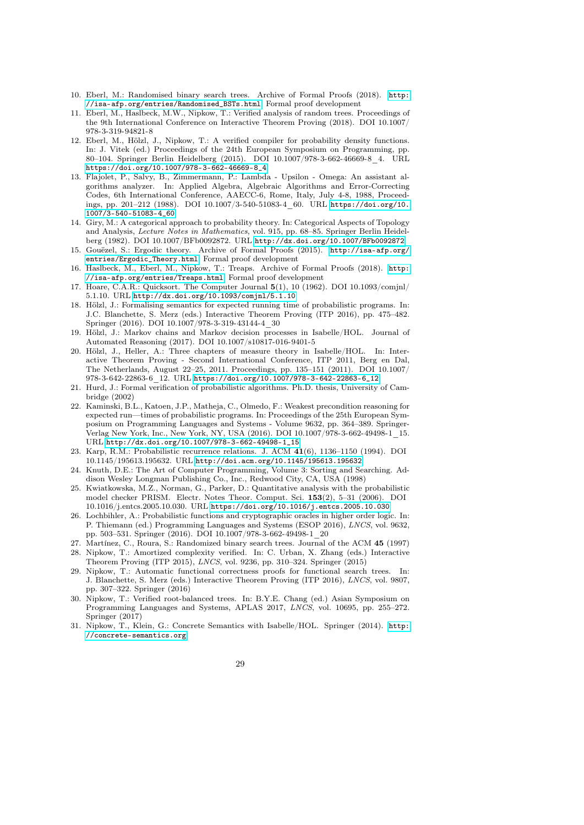- <span id="page-28-6"></span>10. Eberl, M.: Randomised binary search trees. Archive of Formal Proofs (2018). [http:](http://isa-afp.org/entries/Randomised_BSTs.html) [//isa-afp.org/entries/Randomised\\_BSTs.html](http://isa-afp.org/entries/Randomised_BSTs.html), Formal proof development
- <span id="page-28-7"></span>11. Eberl, M., Haslbeck, M.W., Nipkow, T.: Verified analysis of random trees. Proceedings of the 9th International Conference on Interactive Theorem Proving (2018). DOI 10.1007/ 978-3-319-94821-8
- <span id="page-28-10"></span>12. Eberl, M., Hölzl, J., Nipkow, T.: A verified compiler for probability density functions. In: J. Vitek (ed.) Proceedings of the 24th European Symposium on Programming, pp. 80–104. Springer Berlin Heidelberg (2015). DOI 10.1007/978-3-662-46669-8\_4. URL [https://doi.org/10.1007/978-3-662-46669-8\\_4](https://doi.org/10.1007/978-3-662-46669-8_4)
- <span id="page-28-21"></span>13. Flajolet, P., Salvy, B., Zimmermann, P.: Lambda - Upsilon - Omega: An assistant algorithms analyzer. In: Applied Algebra, Algebraic Algorithms and Error-Correcting Codes, 6th International Conference, AAECC-6, Rome, Italy, July 4-8, 1988, Proceedings, pp. 201–212 (1988). DOI 10.1007/3-540-51083-4\_60. URL [https://doi.org/10.](https://doi.org/10.1007/3-540-51083-4_60) [1007/3-540-51083-4\\_60](https://doi.org/10.1007/3-540-51083-4_60)
- <span id="page-28-12"></span>14. Giry, M.: A categorical approach to probability theory. In: Categorical Aspects of Topology and Analysis, Lecture Notes in Mathematics, vol. 915, pp. 68–85. Springer Berlin Heidelberg (1982). DOI 10.1007/BFb0092872. URL <http://dx.doi.org/10.1007/BFb0092872>
- <span id="page-28-9"></span>15. Gouëzel, S.: Ergodic theory. Archive of Formal Proofs (2015). [http://isa-afp.org/](http://isa-afp.org/entries/Ergodic_Theory.html) [entries/Ergodic\\_Theory.html](http://isa-afp.org/entries/Ergodic_Theory.html), Formal proof development
- <span id="page-28-5"></span>16. Haslbeck, M., Eberl, M., Nipkow, T.: Treaps. Archive of Formal Proofs (2018). [http:](http://isa-afp.org/entries/Treaps.html) [//isa-afp.org/entries/Treaps.html](http://isa-afp.org/entries/Treaps.html), Formal proof development
- <span id="page-28-13"></span>17. Hoare, C.A.R.: Quicksort. The Computer Journal 5(1), 10 (1962). DOI 10.1093/comjnl/ 5.1.10. URL <http://dx.doi.org/10.1093/comjnl/5.1.10>
- <span id="page-28-18"></span>18. Hölzl, J.: Formalising semantics for expected running time of probabilistic programs. In: J.C. Blanchette, S. Merz (eds.) Interactive Theorem Proving (ITP 2016), pp. 475–482. Springer (2016). DOI 10.1007/978-3-319-43144-4\_30
- <span id="page-28-11"></span>19. Hölzl, J.: Markov chains and Markov decision processes in Isabelle/HOL. Journal of Automated Reasoning (2017). DOI 10.1007/s10817-016-9401-5
- <span id="page-28-8"></span>20. Hölzl, J., Heller, A.: Three chapters of measure theory in Isabelle/HOL. In: Interactive Theorem Proving - Second International Conference, ITP 2011, Berg en Dal, The Netherlands, August 22–25, 2011. Proceedings, pp. 135–151 (2011). DOI 10.1007/ 978-3-642-22863-6\_12. URL [https://doi.org/10.1007/978-3-642-22863-6\\_12](https://doi.org/10.1007/978-3-642-22863-6_12)
- <span id="page-28-15"></span>21. Hurd, J.: Formal verification of probabilistic algorithms. Ph.D. thesis, University of Cambridge (2002)
- <span id="page-28-17"></span>22. Kaminski, B.L., Katoen, J.P., Matheja, C., Olmedo, F.: Weakest precondition reasoning for expected run—times of probabilistic programs. In: Proceedings of the 25th European Symposium on Programming Languages and Systems - Volume 9632, pp. 364–389. Springer-Verlag New York, Inc., New York, NY, USA (2016). DOI 10.1007/978-3-662-49498-1\_15. URL [http://dx.doi.org/10.1007/978-3-662-49498-1\\_15](http://dx.doi.org/10.1007/978-3-662-49498-1_15)
- <span id="page-28-19"></span>23. Karp, R.M.: Probabilistic recurrence relations. J. ACM 41(6), 1136–1150 (1994). DOI 10.1145/195613.195632. URL <http://doi.acm.org/10.1145/195613.195632>
- <span id="page-28-14"></span>24. Knuth, D.E.: The Art of Computer Programming, Volume 3: Sorting and Searching. Addison Wesley Longman Publishing Co., Inc., Redwood City, CA, USA (1998)
- <span id="page-28-20"></span>25. Kwiatkowska, M.Z., Norman, G., Parker, D.: Quantitative analysis with the probabilistic model checker PRISM. Electr. Notes Theor. Comput. Sci. 153(2), 5–31 (2006). DOI 10.1016/j.entcs.2005.10.030. URL <https://doi.org/10.1016/j.entcs.2005.10.030>
- <span id="page-28-16"></span>26. Lochbihler, A.: Probabilistic functions and cryptographic oracles in higher order logic. In: P. Thiemann (ed.) Programming Languages and Systems (ESOP 2016), LNCS, vol. 9632, pp. 503–531. Springer (2016). DOI 10.1007/978-3-662-49498-1\_20
- <span id="page-28-3"></span><span id="page-28-0"></span>27. Martínez, C., Roura, S.: Randomized binary search trees. Journal of the ACM 45 (1997) 28. Nipkow, T.: Amortized complexity verified. In: C. Urban, X. Zhang (eds.) Interactive Theorem Proving (ITP 2015), LNCS, vol. 9236, pp. 310–324. Springer (2015)
- <span id="page-28-1"></span>29. Nipkow, T.: Automatic functional correctness proofs for functional search trees. In: J. Blanchette, S. Merz (eds.) Interactive Theorem Proving (ITP 2016), LNCS, vol. 9807, pp. 307–322. Springer (2016)
- <span id="page-28-2"></span>30. Nipkow, T.: Verified root-balanced trees. In: B.Y.E. Chang (ed.) Asian Symposium on Programming Languages and Systems, APLAS 2017, LNCS, vol. 10695, pp. 255–272. Springer (2017)
- <span id="page-28-4"></span>31. Nipkow, T., Klein, G.: Concrete Semantics with Isabelle/HOL. Springer (2014). [http:](http://concrete-semantics.org) [//concrete-semantics.org](http://concrete-semantics.org)